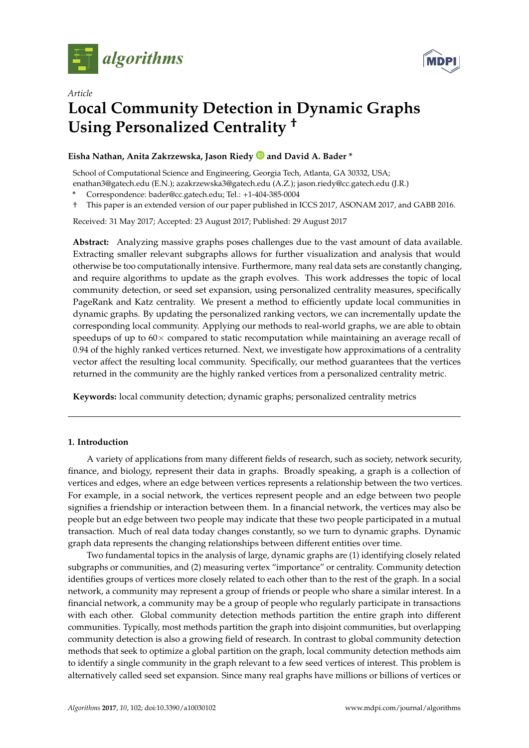



# *Article* **Local Community Detection in Dynamic Graphs Using Personalized Centrality †**

# **Eisha Nathan, Anita Zakrzewska, Jason Riedy and David A. Bader \***

School of Computational Science and Engineering, Georgia Tech, Atlanta, GA 30332, USA;

enathan3@gatech.edu (E.N.); azakrzewska3@gatech.edu (A.Z.); jason.riedy@cc.gatech.edu (J.R.)

**\*** Correspondence: bader@cc.gatech.edu; Tel.: +1-404-385-0004

† This paper is an extended version of our paper published in ICCS 2017, ASONAM 2017, and GABB 2016.

Received: 31 May 2017; Accepted: 23 August 2017; Published: 29 August 2017

**Abstract:** Analyzing massive graphs poses challenges due to the vast amount of data available. Extracting smaller relevant subgraphs allows for further visualization and analysis that would otherwise be too computationally intensive. Furthermore, many real data sets are constantly changing, and require algorithms to update as the graph evolves. This work addresses the topic of local community detection, or seed set expansion, using personalized centrality measures, specifically PageRank and Katz centrality. We present a method to efficiently update local communities in dynamic graphs. By updating the personalized ranking vectors, we can incrementally update the corresponding local community. Applying our methods to real-world graphs, we are able to obtain speedups of up to  $60\times$  compared to static recomputation while maintaining an average recall of 0.94 of the highly ranked vertices returned. Next, we investigate how approximations of a centrality vector affect the resulting local community. Specifically, our method guarantees that the vertices returned in the community are the highly ranked vertices from a personalized centrality metric.

**Keywords:** local community detection; dynamic graphs; personalized centrality metrics

# **1. Introduction**

A variety of applications from many different fields of research, such as society, network security, finance, and biology, represent their data in graphs. Broadly speaking, a graph is a collection of vertices and edges, where an edge between vertices represents a relationship between the two vertices. For example, in a social network, the vertices represent people and an edge between two people signifies a friendship or interaction between them. In a financial network, the vertices may also be people but an edge between two people may indicate that these two people participated in a mutual transaction. Much of real data today changes constantly, so we turn to dynamic graphs. Dynamic graph data represents the changing relationships between different entities over time.

Two fundamental topics in the analysis of large, dynamic graphs are (1) identifying closely related subgraphs or communities, and (2) measuring vertex "importance" or centrality. Community detection identifies groups of vertices more closely related to each other than to the rest of the graph. In a social network, a community may represent a group of friends or people who share a similar interest. In a financial network, a community may be a group of people who regularly participate in transactions with each other. Global community detection methods partition the entire graph into different communities. Typically, most methods partition the graph into disjoint communities, but overlapping community detection is also a growing field of research. In contrast to global community detection methods that seek to optimize a global partition on the graph, local community detection methods aim to identify a single community in the graph relevant to a few seed vertices of interest. This problem is alternatively called seed set expansion. Since many real graphs have millions or billions of vertices or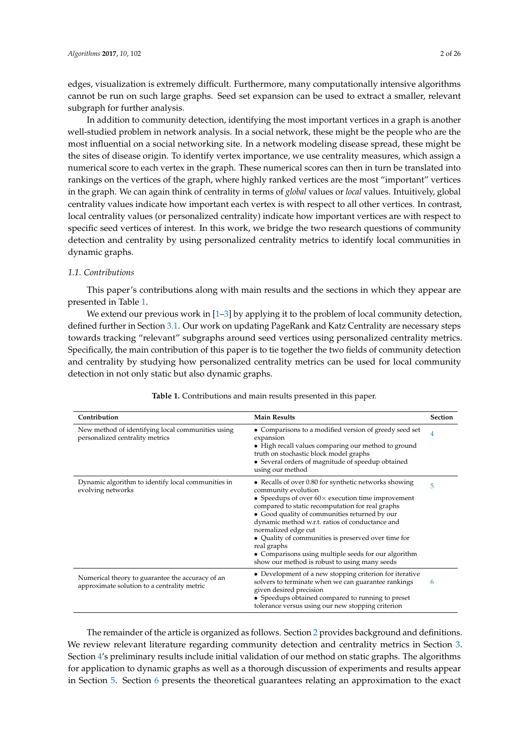edges, visualization is extremely difficult. Furthermore, many computationally intensive algorithms cannot be run on such large graphs. Seed set expansion can be used to extract a smaller, relevant subgraph for further analysis.

In addition to community detection, identifying the most important vertices in a graph is another well-studied problem in network analysis. In a social network, these might be the people who are the most influential on a social networking site. In a network modeling disease spread, these might be the sites of disease origin. To identify vertex importance, we use centrality measures, which assign a numerical score to each vertex in the graph. These numerical scores can then in turn be translated into rankings on the vertices of the graph, where highly ranked vertices are the most "important" vertices in the graph. We can again think of centrality in terms of *global* values or *local* values. Intuitively, global centrality values indicate how important each vertex is with respect to all other vertices. In contrast, local centrality values (or personalized centrality) indicate how important vertices are with respect to specific seed vertices of interest. In this work, we bridge the two research questions of community detection and centrality by using personalized centrality metrics to identify local communities in dynamic graphs.

# *1.1. Contributions*

This paper's contributions along with main results and the sections in which they appear are presented in Table [1.](#page-1-0)

We extend our previous work in [\[1–](#page-23-0)[3\]](#page-23-1) by applying it to the problem of local community detection, defined further in Section [3.1.](#page-4-0) Our work on updating PageRank and Katz Centrality are necessary steps towards tracking "relevant" subgraphs around seed vertices using personalized centrality metrics. Specifically, the main contribution of this paper is to tie together the two fields of community detection and centrality by studying how personalized centrality metrics can be used for local community detection in not only static but also dynamic graphs.

<span id="page-1-0"></span>

| Contribution                                                                                    | <b>Main Results</b>                                                                                                                                                                                                                                                                                                                                                                                                                                                                                     | <b>Section</b> |  |
|-------------------------------------------------------------------------------------------------|---------------------------------------------------------------------------------------------------------------------------------------------------------------------------------------------------------------------------------------------------------------------------------------------------------------------------------------------------------------------------------------------------------------------------------------------------------------------------------------------------------|----------------|--|
| New method of identifying local communities using<br>personalized centrality metrics            | • Comparisons to a modified version of greedy seed set<br>expansion<br>• High recall values comparing our method to ground<br>truth on stochastic block model graphs<br>• Several orders of magnitude of speedup obtained<br>using our method                                                                                                                                                                                                                                                           | 4              |  |
| Dynamic algorithm to identify local communities in<br>evolving networks                         | • Recalls of over 0.80 for synthetic networks showing<br>community evolution<br>• Speedups of over $60 \times$ execution time improvement<br>compared to static recomputation for real graphs<br>• Good quality of communities returned by our<br>dynamic method w.r.t. ratios of conductance and<br>normalized edge cut<br>• Quality of communities is preserved over time for<br>real graphs<br>• Comparisons using multiple seeds for our algorithm<br>show our method is robust to using many seeds | 5              |  |
| Numerical theory to guarantee the accuracy of an<br>approximate solution to a centrality metric | • Development of a new stopping criterion for iterative<br>solvers to terminate when we can guarantee rankings<br>given desired precision<br>• Speedups obtained compared to running to preset<br>tolerance versus using our new stopping criterion                                                                                                                                                                                                                                                     | 6              |  |

#### **Table 1.** Contributions and main results presented in this paper.

The remainder of the article is organized as follows. Section [2](#page-2-0) provides background and definitions. We review relevant literature regarding community detection and centrality metrics in Section [3.](#page-4-1) Section [4'](#page-7-0)s preliminary results include initial validation of our method on static graphs. The algorithms for application to dynamic graphs as well as a thorough discussion of experiments and results appear in Section [5.](#page-11-0) Section [6](#page-18-0) presents the theoretical guarantees relating an approximation to the exact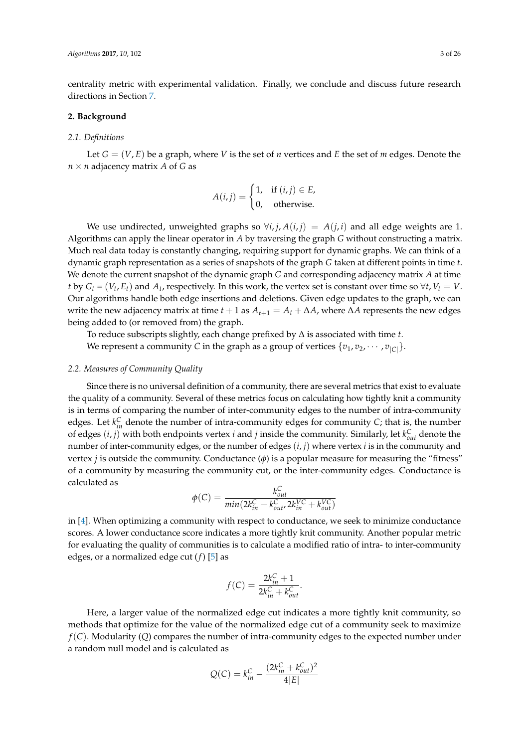centrality metric with experimental validation. Finally, we conclude and discuss future research directions in Section [7.](#page-22-0)

# <span id="page-2-0"></span>**2. Background**

#### *2.1. Definitions*

Let  $G = (V, E)$  be a graph, where V is the set of *n* vertices and *E* the set of *m* edges. Denote the  $n \times n$  adjacency matrix *A* of *G* as

$$
A(i,j) = \begin{cases} 1, & \text{if } (i,j) \in E, \\ 0, & \text{otherwise.} \end{cases}
$$

We use undirected, unweighted graphs so  $\forall i, j, A(i, j) = A(j, i)$  and all edge weights are 1. Algorithms can apply the linear operator in *A* by traversing the graph *G* without constructing a matrix. Much real data today is constantly changing, requiring support for dynamic graphs. We can think of a dynamic graph representation as a series of snapshots of the graph *G* taken at different points in time *t*. We denote the current snapshot of the dynamic graph *G* and corresponding adjacency matrix *A* at time *t* by  $G_t = (V_t, E_t)$  and  $A_t$ , respectively. In this work, the vertex set is constant over time so  $\forall t, V_t = V$ . Our algorithms handle both edge insertions and deletions. Given edge updates to the graph, we can write the new adjacency matrix at time  $t + 1$  as  $A_{t+1} = A_t + \Delta A$ , where  $\Delta A$  represents the new edges being added to (or removed from) the graph.

To reduce subscripts slightly, each change prefixed by ∆ is associated with time *t*. We represent a community *C* in the graph as a group of vertices  $\{v_1, v_2, \cdots, v_{|C|}\}.$ 

## *2.2. Measures of Community Quality*

Since there is no universal definition of a community, there are several metrics that exist to evaluate the quality of a community. Several of these metrics focus on calculating how tightly knit a community is in terms of comparing the number of inter-community edges to the number of intra-community edges. Let  $k_{in}^C$  denote the number of intra-community edges for community *C*; that is, the number of edges  $(i, j)$  with both endpoints vertex *i* and *j* inside the community. Similarly, let  $k_{out}^C$  denote the number of inter-community edges, or the number of edges (*i*, *j*) where vertex *i* is in the community and vertex *j* is outside the community. Conductance (*φ*) is a popular measure for measuring the "fitness" of a community by measuring the community cut, or the inter-community edges. Conductance is calculated as

$$
\phi(C) = \frac{k_{out}^C}{min(2k_{in}^C + k_{out}^C, 2k_{in}^{VC} + k_{out}^{VC})}
$$

in [\[4\]](#page-23-2). When optimizing a community with respect to conductance, we seek to minimize conductance scores. A lower conductance score indicates a more tightly knit community. Another popular metric for evaluating the quality of communities is to calculate a modified ratio of intra- to inter-community edges, or a normalized edge cut (*f*) [\[5\]](#page-23-3) as

$$
f(C) = \frac{2k_{in}^{C} + 1}{2k_{in}^{C} + k_{out}^{C}}.
$$

Here, a larger value of the normalized edge cut indicates a more tightly knit community, so methods that optimize for the value of the normalized edge cut of a community seek to maximize *f*(*C*). Modularity (*Q*) compares the number of intra-community edges to the expected number under a random null model and is calculated as

$$
Q(C) = k_{in}^{C} - \frac{(2k_{in}^{C} + k_{out}^{C})^{2}}{4|E|}
$$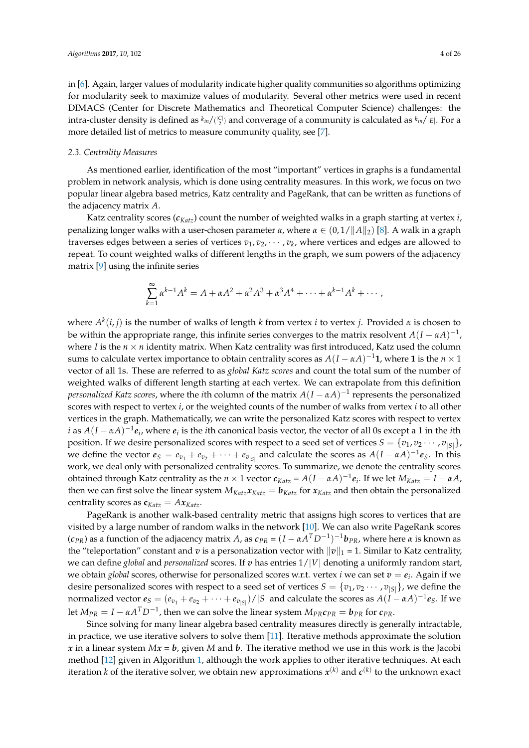in [\[6\]](#page-23-4). Again, larger values of modularity indicate higher quality communities so algorithms optimizing for modularity seek to maximize values of modularity. Several other metrics were used in recent DIMACS (Center for Discrete Mathematics and Theoretical Computer Science) challenges: the intra-cluster density is defined as  $k_{in}/\binom{|C|}{2}$  and converage of a community is calculated as  $k_{in}/|E|$ . For a more detailed list of metrics to measure community quality, see [\[7\]](#page-23-5).

#### <span id="page-3-0"></span>*2.3. Centrality Measures*

As mentioned earlier, identification of the most "important" vertices in graphs is a fundamental problem in network analysis, which is done using centrality measures. In this work, we focus on two popular linear algebra based metrics, Katz centrality and PageRank, that can be written as functions of the adjacency matrix *A*.

Katz centrality scores (*cKatz*) count the number of weighted walks in a graph starting at vertex *i*, penalizing longer walks with a user-chosen parameter *α*, where  $\alpha \in (0,1/\|A\|_2)$  [\[8\]](#page-23-6). A walk in a graph traverses edges between a series of vertices  $v_1, v_2, \cdots, v_k$ , where vertices and edges are allowed to repeat. To count weighted walks of different lengths in the graph, we sum powers of the adjacency matrix [\[9\]](#page-23-7) using the infinite series

$$
\sum_{k=1}^{\infty} \alpha^{k-1} A^k = A + \alpha A^2 + \alpha^2 A^3 + \alpha^3 A^4 + \cdots + \alpha^{k-1} A^k + \cdots,
$$

where *A k* (*i*, *j*) is the number of walks of length *k* from vertex *i* to vertex *j*. Provided *α* is chosen to be within the appropriate range, this infinite series converges to the matrix resolvent  $A(I-\alpha A)^{-1}$ , where *I* is the  $n \times n$  identity matrix. When Katz centrality was first introduced, Katz used the column sums to calculate vertex importance to obtain centrality scores as  $A(I - \alpha A)^{-1}$ 1, where 1 is the  $n \times 1$ vector of all 1s. These are referred to as *global Katz scores* and count the total sum of the number of weighted walks of different length starting at each vertex. We can extrapolate from this definition  $\emph{personalized Katz scores}$ , where the *i*th column of the matrix  $A(I-\alpha A)^{-1}$  represents the personalized scores with respect to vertex *i*, or the weighted counts of the number of walks from vertex *i* to all other vertices in the graph. Mathematically, we can write the personalized Katz scores with respect to vertex *i* as  $A(I - \alpha A)^{-1}$  $e_i$ , where  $e_i$  is the *i*th canonical basis vector, the vector of all 0s except a 1 in the *i*th position. If we desire personalized scores with respect to a seed set of vertices  $S = \{v_1, v_2 \cdots, v_{|S|}\},$ we define the vector  $e_S = e_{v_1} + e_{v_2} + \cdots + e_{v_{|S|}}$  and calculate the scores as  $A(I - \alpha A)^{-1}e_S$ . In this work, we deal only with personalized centrality scores. To summarize, we denote the centrality scores obtained through Katz centrality as the  $n \times 1$  vector  $c_{Katz} = A(I - \alpha A)^{-1}e_i$ . If we let  $M_{Katz} = I - \alpha A$ , then we can first solve the linear system  $M_{Katz}$ *x*<sub>*Katz*</sub> =  $b_{Katz}$  for *x*<sub>*Katz*</sub> and then obtain the personalized centrality scores as  $\mathbf{c}_{Katz} = Ax_{Katz}$ .

PageRank is another walk-based centrality metric that assigns high scores to vertices that are visited by a large number of random walks in the network [\[10\]](#page-23-8). We can also write PageRank scores (*cPR*) as a function of the adjacency matrix *A*, as *cPR* = (*I* − *αA <sup>T</sup>D*−<sup>1</sup> ) <sup>−</sup>1*bPR*, where here *α* is known as the "teleportation" constant and *v* is a personalization vector with  $\|v\|_1 = 1$ . Similar to Katz centrality, we can define *global* and *personalized* scores. If *v* has entries 1/|*V*| denoting a uniformly random start, we obtain *global* scores, otherwise for personalized scores w.r.t. vertex *i* we can set  $v = e_i$ . Again if we desire personalized scores with respect to a seed set of vertices  $S = \{v_1, v_2 \cdots, v_{|S|}\}\)$ , we define the normalized vector  $e_S=(e_{v_1}+e_{v_2}+\cdots+e_{v_{|S|}})/|S|$  and calculate the scores as  $A(I-\alpha A)^{-1}e_S.$  If we let  $M_{PR} = I - \alpha A^T D^{-1}$ , then we can solve the linear system  $M_{PR}c_{PR} = \bm{b}_{PR}$  for  $c_{PR}$ .

Since solving for many linear algebra based centrality measures directly is generally intractable, in practice, we use iterative solvers to solve them [\[11\]](#page-23-9). Iterative methods approximate the solution *x* in a linear system  $Mx = b$ , given *M* and *b*. The iterative method we use in this work is the Jacobi method [\[12\]](#page-23-10) given in Algorithm [1,](#page-4-2) although the work applies to other iterative techniques. At each iteration  $k$  of the iterative solver, we obtain new approximations  $\pmb{x}^{(k)}$  and  $\pmb{c}^{(k)}$  to the unknown exact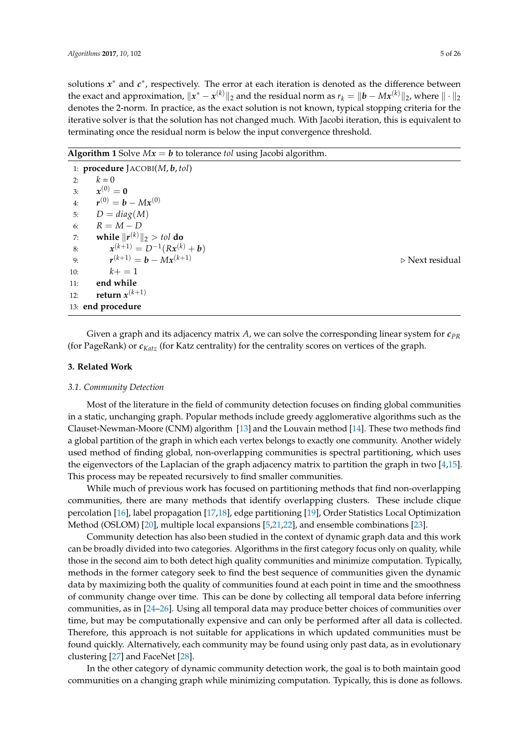solutions  $x^*$  and  $c^*$ , respectively. The error at each iteration is denoted as the difference between the exact and approximation,  $\|x^* - x^{(k)}\|_2$  and the residual norm as  $r_k = \|b - Mx^{(k)}\|_2$ , where  $\|\cdot\|_2$ denotes the 2-norm. In practice, as the exact solution is not known, typical stopping criteria for the iterative solver is that the solution has not changed much. With Jacobi iteration, this is equivalent to terminating once the residual norm is below the input convergence threshold.

<span id="page-4-2"></span>**Algorithm 1** Solve  $Mx = b$  to tolerance *tol* using Jacobi algorithm.

|     | 1: procedure $JACOBI(M, b, tol)$   |
|-----|------------------------------------|
| 2:  | $k=0$                              |
| 3:  | $x^{(0)} = 0$                      |
| 4:  | $r^{(0)} = b - Mx^{(0)}$           |
| 5:  | $D = diag(M)$                      |
| 6:  | $R = M - D$                        |
| 7:  | while $  r^{(k)}  _2 > tol$ do     |
| 8:  | $x^{(k+1)} = D^{-1}(Rx^{(k)} + b)$ |
| 9:  | $r^{(k+1)} = h - Mx^{(k+1)}$       |
| 10: | $k+ = 1$                           |
| 11: | end while                          |
| 12: | return $x^{(k+1)}$                 |
|     | 13: end procedure                  |

(*k*+1) . Next residual

Given a graph and its adjacency matrix *A*, we can solve the corresponding linear system for *cPR* (for PageRank) or *cKatz* (for Katz centrality) for the centrality scores on vertices of the graph.

## <span id="page-4-1"></span>**3. Related Work**

# <span id="page-4-0"></span>*3.1. Community Detection*

Most of the literature in the field of community detection focuses on finding global communities in a static, unchanging graph. Popular methods include greedy agglomerative algorithms such as the Clauset-Newman-Moore (CNM) algorithm [\[13\]](#page-23-11) and the Louvain method [\[14\]](#page-23-12). These two methods find a global partition of the graph in which each vertex belongs to exactly one community. Another widely used method of finding global, non-overlapping communities is spectral partitioning, which uses the eigenvectors of the Laplacian of the graph adjacency matrix to partition the graph in two [\[4,](#page-23-2)[15\]](#page-23-13). This process may be repeated recursively to find smaller communities.

While much of previous work has focused on partitioning methods that find non-overlapping communities, there are many methods that identify overlapping clusters. These include clique percolation [\[16\]](#page-23-14), label propagation [\[17](#page-23-15)[,18\]](#page-23-16), edge partitioning [\[19\]](#page-23-17), Order Statistics Local Optimization Method (OSLOM) [\[20\]](#page-23-18), multiple local expansions [\[5,](#page-23-3)[21,](#page-23-19)[22\]](#page-23-20), and ensemble combinations [\[23\]](#page-23-21).

Community detection has also been studied in the context of dynamic graph data and this work can be broadly divided into two categories. Algorithms in the first category focus only on quality, while those in the second aim to both detect high quality communities and minimize computation. Typically, methods in the former category seek to find the best sequence of communities given the dynamic data by maximizing both the quality of communities found at each point in time and the smoothness of community change over time. This can be done by collecting all temporal data before inferring communities, as in [\[24–](#page-23-22)[26\]](#page-24-0). Using all temporal data may produce better choices of communities over time, but may be computationally expensive and can only be performed after all data is collected. Therefore, this approach is not suitable for applications in which updated communities must be found quickly. Alternatively, each community may be found using only past data, as in evolutionary clustering [\[27\]](#page-24-1) and FaceNet [\[28\]](#page-24-2).

In the other category of dynamic community detection work, the goal is to both maintain good communities on a changing graph while minimizing computation. Typically, this is done as follows.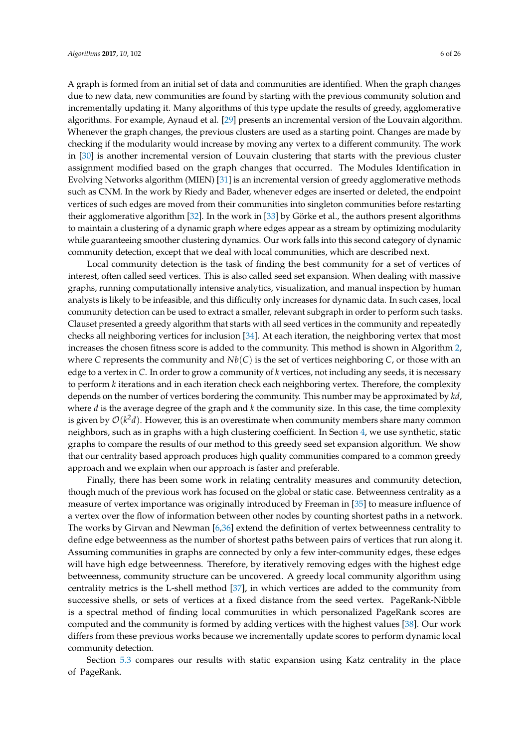A graph is formed from an initial set of data and communities are identified. When the graph changes due to new data, new communities are found by starting with the previous community solution and incrementally updating it. Many algorithms of this type update the results of greedy, agglomerative algorithms. For example, Aynaud et al. [\[29\]](#page-24-3) presents an incremental version of the Louvain algorithm. Whenever the graph changes, the previous clusters are used as a starting point. Changes are made by checking if the modularity would increase by moving any vertex to a different community. The work in [\[30\]](#page-24-4) is another incremental version of Louvain clustering that starts with the previous cluster assignment modified based on the graph changes that occurred. The Modules Identification in Evolving Networks algorithm (MIEN) [\[31\]](#page-24-5) is an incremental version of greedy agglomerative methods such as CNM. In the work by Riedy and Bader, whenever edges are inserted or deleted, the endpoint vertices of such edges are moved from their communities into singleton communities before restarting their agglomerative algorithm [\[32\]](#page-24-6). In the work in [\[33\]](#page-24-7) by Görke et al., the authors present algorithms to maintain a clustering of a dynamic graph where edges appear as a stream by optimizing modularity while guaranteeing smoother clustering dynamics. Our work falls into this second category of dynamic community detection, except that we deal with local communities, which are described next.

Local community detection is the task of finding the best community for a set of vertices of interest, often called seed vertices. This is also called seed set expansion. When dealing with massive graphs, running computationally intensive analytics, visualization, and manual inspection by human analysts is likely to be infeasible, and this difficulty only increases for dynamic data. In such cases, local community detection can be used to extract a smaller, relevant subgraph in order to perform such tasks. Clauset presented a greedy algorithm that starts with all seed vertices in the community and repeatedly checks all neighboring vertices for inclusion [\[34\]](#page-24-8). At each iteration, the neighboring vertex that most increases the chosen fitness score is added to the community. This method is shown in Algorithm [2,](#page-6-0) where *C* represents the community and  $Nb(C)$  is the set of vertices neighboring *C*, or those with an edge to a vertex in *C*. In order to grow a community of *k* vertices, not including any seeds, it is necessary to perform *k* iterations and in each iteration check each neighboring vertex. Therefore, the complexity depends on the number of vertices bordering the community. This number may be approximated by *kd*, where *d* is the average degree of the graph and *k* the community size. In this case, the time complexity is given by  $\mathcal{O}(k^2d)$ . However, this is an overestimate when community members share many common neighbors, such as in graphs with a high clustering coefficient. In Section [4,](#page-7-0) we use synthetic, static graphs to compare the results of our method to this greedy seed set expansion algorithm. We show that our centrality based approach produces high quality communities compared to a common greedy approach and we explain when our approach is faster and preferable.

Finally, there has been some work in relating centrality measures and community detection, though much of the previous work has focused on the global or static case. Betweenness centrality as a measure of vertex importance was originally introduced by Freeman in [\[35\]](#page-24-9) to measure influence of a vertex over the flow of information between other nodes by counting shortest paths in a network. The works by Girvan and Newman [\[6](#page-23-4)[,36\]](#page-24-10) extend the definition of vertex betweenness centrality to define edge betweenness as the number of shortest paths between pairs of vertices that run along it. Assuming communities in graphs are connected by only a few inter-community edges, these edges will have high edge betweenness. Therefore, by iteratively removing edges with the highest edge betweenness, community structure can be uncovered. A greedy local community algorithm using centrality metrics is the L-shell method [\[37\]](#page-24-11), in which vertices are added to the community from successive shells, or sets of vertices at a fixed distance from the seed vertex. PageRank-Nibble is a spectral method of finding local communities in which personalized PageRank scores are computed and the community is formed by adding vertices with the highest values [\[38\]](#page-24-12). Our work differs from these previous works because we incrementally update scores to perform dynamic local community detection.

Section [5.3](#page-14-0) compares our results with static expansion using Katz centrality in the place of PageRank.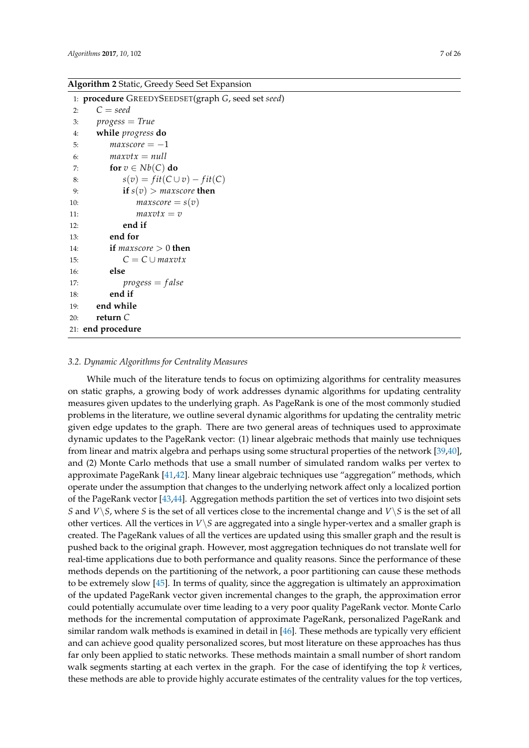# <span id="page-6-0"></span>**Algorithm 2** Static, Greedy Seed Set Expansion

|     | 1: procedure GREEDYSEEDSET(graph G, seed set seed) |
|-----|----------------------------------------------------|
| 2:  | $C = seed$                                         |
| 3:  | $progress = True$                                  |
|     | while progress do<br>4:                            |
| 5:  | $maxscore = -1$                                    |
| 6:  | $maxvtx = null$                                    |
| 7:  | for $v \in Nb(C)$ do                               |
| 8:  | $s(v) = fit(C \cup v) - fit(C)$                    |
| 9:  | if $s(v) >$ maxscore then                          |
| 10: | $maxscore = s(v)$                                  |
| 11: | $maxvtx=v$                                         |
| 12: | end if                                             |
| 13: | end for                                            |
| 14: | if <i>maxscore</i> $> 0$ then                      |
| 15: | $C = C \cup maxvtx$                                |
| 16: | else                                               |
| 17: | $progress = false$                                 |
| 18: | end if                                             |
| 19: | end while                                          |
| 20: | return $C$                                         |
|     | 21: end procedure                                  |

#### *3.2. Dynamic Algorithms for Centrality Measures*

While much of the literature tends to focus on optimizing algorithms for centrality measures on static graphs, a growing body of work addresses dynamic algorithms for updating centrality measures given updates to the underlying graph. As PageRank is one of the most commonly studied problems in the literature, we outline several dynamic algorithms for updating the centrality metric given edge updates to the graph. There are two general areas of techniques used to approximate dynamic updates to the PageRank vector: (1) linear algebraic methods that mainly use techniques from linear and matrix algebra and perhaps using some structural properties of the network [\[39,](#page-24-13)[40\]](#page-24-14), and (2) Monte Carlo methods that use a small number of simulated random walks per vertex to approximate PageRank [\[41](#page-24-15)[,42\]](#page-24-16). Many linear algebraic techniques use "aggregation" methods, which operate under the assumption that changes to the underlying network affect only a localized portion of the PageRank vector [\[43,](#page-24-17)[44\]](#page-24-18). Aggregation methods partition the set of vertices into two disjoint sets *S* and *V*\*S*, where *S* is the set of all vertices close to the incremental change and *V*\*S* is the set of all other vertices. All the vertices in  $V\ S$  are aggregated into a single hyper-vertex and a smaller graph is created. The PageRank values of all the vertices are updated using this smaller graph and the result is pushed back to the original graph. However, most aggregation techniques do not translate well for real-time applications due to both performance and quality reasons. Since the performance of these methods depends on the partitioning of the network, a poor partitioning can cause these methods to be extremely slow [\[45\]](#page-24-19). In terms of quality, since the aggregation is ultimately an approximation of the updated PageRank vector given incremental changes to the graph, the approximation error could potentially accumulate over time leading to a very poor quality PageRank vector. Monte Carlo methods for the incremental computation of approximate PageRank, personalized PageRank and similar random walk methods is examined in detail in [\[46\]](#page-24-20). These methods are typically very efficient and can achieve good quality personalized scores, but most literature on these approaches has thus far only been applied to static networks. These methods maintain a small number of short random walk segments starting at each vertex in the graph. For the case of identifying the top *k* vertices, these methods are able to provide highly accurate estimates of the centrality values for the top vertices,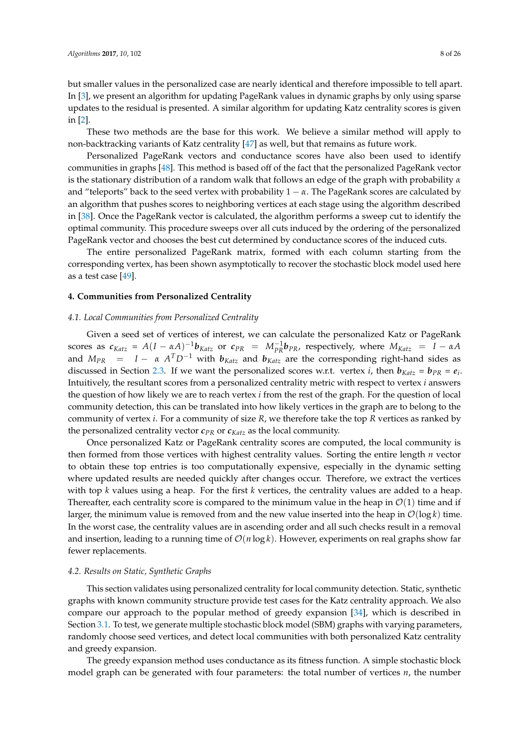but smaller values in the personalized case are nearly identical and therefore impossible to tell apart. In [\[3\]](#page-23-1), we present an algorithm for updating PageRank values in dynamic graphs by only using sparse updates to the residual is presented. A similar algorithm for updating Katz centrality scores is given in [\[2\]](#page-23-23).

These two methods are the base for this work. We believe a similar method will apply to non-backtracking variants of Katz centrality [\[47\]](#page-24-21) as well, but that remains as future work.

Personalized PageRank vectors and conductance scores have also been used to identify communities in graphs [\[48\]](#page-24-22). This method is based off of the fact that the personalized PageRank vector is the stationary distribution of a random walk that follows an edge of the graph with probability *α* and "teleports" back to the seed vertex with probability  $1 - \alpha$ . The PageRank scores are calculated by an algorithm that pushes scores to neighboring vertices at each stage using the algorithm described in [\[38\]](#page-24-12). Once the PageRank vector is calculated, the algorithm performs a sweep cut to identify the optimal community. This procedure sweeps over all cuts induced by the ordering of the personalized PageRank vector and chooses the best cut determined by conductance scores of the induced cuts.

The entire personalized PageRank matrix, formed with each column starting from the corresponding vertex, has been shown asymptotically to recover the stochastic block model used here as a test case [\[49\]](#page-25-0).

# <span id="page-7-0"></span>**4. Communities from Personalized Centrality**

# <span id="page-7-1"></span>*4.1. Local Communities from Personalized Centrality*

Given a seed set of vertices of interest, we can calculate the personalized Katz or PageRank scores as  $c_{Katz} = A(I - \alpha A)^{-1}b_{Katz}$  or  $c_{PR} = M_{PR}^{-1}b_{PR}$ , respectively, where  $M_{Katz} = I - \alpha A$ and *MPR* = *I* − *α A <sup>T</sup>D*−<sup>1</sup> with *bKatz* and *bKatz* are the corresponding right-hand sides as discussed in Section [2.3.](#page-3-0) If we want the personalized scores w.r.t. vertex *i*, then  $b_{Katz} = b_{PR} = e_i$ . Intuitively, the resultant scores from a personalized centrality metric with respect to vertex *i* answers the question of how likely we are to reach vertex *i* from the rest of the graph. For the question of local community detection, this can be translated into how likely vertices in the graph are to belong to the community of vertex *i*. For a community of size *R*, we therefore take the top *R* vertices as ranked by the personalized centrality vector  $c_{PR}$  or  $c_{Katz}$  as the local community.

Once personalized Katz or PageRank centrality scores are computed, the local community is then formed from those vertices with highest centrality values. Sorting the entire length *n* vector to obtain these top entries is too computationally expensive, especially in the dynamic setting where updated results are needed quickly after changes occur. Therefore, we extract the vertices with top *k* values using a heap. For the first *k* vertices, the centrality values are added to a heap. Thereafter, each centrality score is compared to the minimum value in the heap in  $\mathcal{O}(1)$  time and if larger, the minimum value is removed from and the new value inserted into the heap in  $\mathcal{O}(\log k)$  time. In the worst case, the centrality values are in ascending order and all such checks result in a removal and insertion, leading to a running time of  $\mathcal{O}(n \log k)$ . However, experiments on real graphs show far fewer replacements.

# <span id="page-7-2"></span>*4.2. Results on Static, Synthetic Graphs*

This section validates using personalized centrality for local community detection. Static, synthetic graphs with known community structure provide test cases for the Katz centrality approach. We also compare our approach to the popular method of greedy expansion [\[34\]](#page-24-8), which is described in Section [3.1.](#page-4-0) To test, we generate multiple stochastic block model (SBM) graphs with varying parameters, randomly choose seed vertices, and detect local communities with both personalized Katz centrality and greedy expansion.

The greedy expansion method uses conductance as its fitness function. A simple stochastic block model graph can be generated with four parameters: the total number of vertices *n*, the number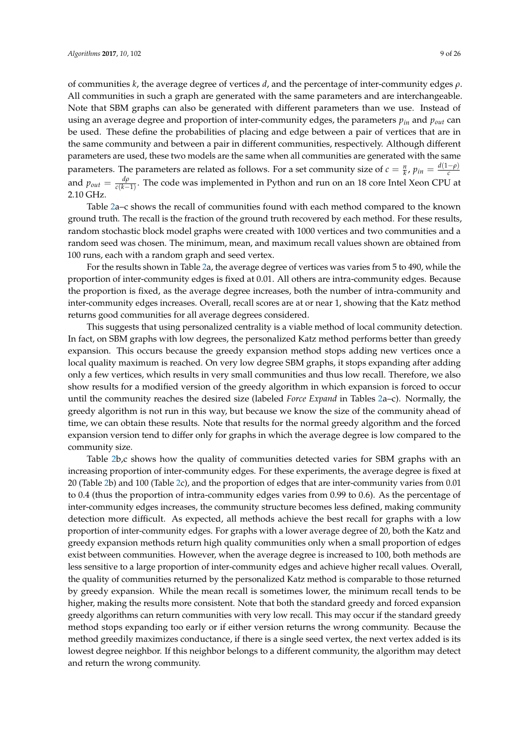of communities *k*, the average degree of vertices *d*, and the percentage of inter-community edges *ρ*. All communities in such a graph are generated with the same parameters and are interchangeable. Note that SBM graphs can also be generated with different parameters than we use. Instead of using an average degree and proportion of inter-community edges, the parameters *pin* and *pout* can be used. These define the probabilities of placing and edge between a pair of vertices that are in the same community and between a pair in different communities, respectively. Although different parameters are used, these two models are the same when all communities are generated with the same parameters. The parameters are related as follows. For a set community size of  $c = \frac{n}{k}$ ,  $p_{in} = \frac{d(1-\rho)}{c}$ and  $p_{out} = \frac{d\rho}{c(k-1)}$ *c*(*k*−1) . The code was implemented in Python and run on an 18 core Intel Xeon CPU at 2.10 GHz.

Table [2a](#page-10-0)–c shows the recall of communities found with each method compared to the known ground truth. The recall is the fraction of the ground truth recovered by each method. For these results, random stochastic block model graphs were created with 1000 vertices and two communities and a random seed was chosen. The minimum, mean, and maximum recall values shown are obtained from 100 runs, each with a random graph and seed vertex.

For the results shown in Table [2a](#page-10-0), the average degree of vertices was varies from 5 to 490, while the proportion of inter-community edges is fixed at 0.01. All others are intra-community edges. Because the proportion is fixed, as the average degree increases, both the number of intra-community and inter-community edges increases. Overall, recall scores are at or near 1, showing that the Katz method returns good communities for all average degrees considered.

This suggests that using personalized centrality is a viable method of local community detection. In fact, on SBM graphs with low degrees, the personalized Katz method performs better than greedy expansion. This occurs because the greedy expansion method stops adding new vertices once a local quality maximum is reached. On very low degree SBM graphs, it stops expanding after adding only a few vertices, which results in very small communities and thus low recall. Therefore, we also show results for a modified version of the greedy algorithm in which expansion is forced to occur until the community reaches the desired size (labeled *Force Expand* in Tables [2a](#page-10-0)–c). Normally, the greedy algorithm is not run in this way, but because we know the size of the community ahead of time, we can obtain these results. Note that results for the normal greedy algorithm and the forced expansion version tend to differ only for graphs in which the average degree is low compared to the community size.

Table [2b](#page-10-0),c shows how the quality of communities detected varies for SBM graphs with an increasing proportion of inter-community edges. For these experiments, the average degree is fixed at 20 (Table [2b](#page-10-0)) and 100 (Table [2c](#page-10-0)), and the proportion of edges that are inter-community varies from 0.01 to 0.4 (thus the proportion of intra-community edges varies from 0.99 to 0.6). As the percentage of inter-community edges increases, the community structure becomes less defined, making community detection more difficult. As expected, all methods achieve the best recall for graphs with a low proportion of inter-community edges. For graphs with a lower average degree of 20, both the Katz and greedy expansion methods return high quality communities only when a small proportion of edges exist between communities. However, when the average degree is increased to 100, both methods are less sensitive to a large proportion of inter-community edges and achieve higher recall values. Overall, the quality of communities returned by the personalized Katz method is comparable to those returned by greedy expansion. While the mean recall is sometimes lower, the minimum recall tends to be higher, making the results more consistent. Note that both the standard greedy and forced expansion greedy algorithms can return communities with very low recall. This may occur if the standard greedy method stops expanding too early or if either version returns the wrong community. Because the method greedily maximizes conductance, if there is a single seed vertex, the next vertex added is its lowest degree neighbor. If this neighbor belongs to a different community, the algorithm may detect and return the wrong community.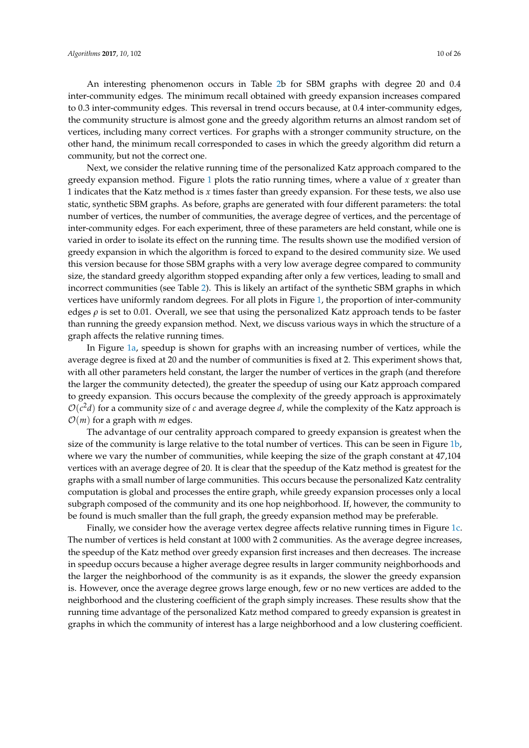An interesting phenomenon occurs in Table [2b](#page-10-0) for SBM graphs with degree 20 and 0.4 inter-community edges. The minimum recall obtained with greedy expansion increases compared to 0.3 inter-community edges. This reversal in trend occurs because, at 0.4 inter-community edges, the community structure is almost gone and the greedy algorithm returns an almost random set of vertices, including many correct vertices. For graphs with a stronger community structure, on the other hand, the minimum recall corresponded to cases in which the greedy algorithm did return a community, but not the correct one.

Next, we consider the relative running time of the personalized Katz approach compared to the greedy expansion method. Figure [1](#page-11-1) plots the ratio running times, where a value of *x* greater than 1 indicates that the Katz method is *x* times faster than greedy expansion. For these tests, we also use static, synthetic SBM graphs. As before, graphs are generated with four different parameters: the total number of vertices, the number of communities, the average degree of vertices, and the percentage of inter-community edges. For each experiment, three of these parameters are held constant, while one is varied in order to isolate its effect on the running time. The results shown use the modified version of greedy expansion in which the algorithm is forced to expand to the desired community size. We used this version because for those SBM graphs with a very low average degree compared to community size, the standard greedy algorithm stopped expanding after only a few vertices, leading to small and incorrect communities (see Table [2\)](#page-10-0). This is likely an artifact of the synthetic SBM graphs in which vertices have uniformly random degrees. For all plots in Figure [1,](#page-11-1) the proportion of inter-community edges  $\rho$  is set to 0.01. Overall, we see that using the personalized Katz approach tends to be faster than running the greedy expansion method. Next, we discuss various ways in which the structure of a graph affects the relative running times.

In Figure [1a,](#page-10-1) speedup is shown for graphs with an increasing number of vertices, while the average degree is fixed at 20 and the number of communities is fixed at 2. This experiment shows that, with all other parameters held constant, the larger the number of vertices in the graph (and therefore the larger the community detected), the greater the speedup of using our Katz approach compared to greedy expansion. This occurs because the complexity of the greedy approach is approximately  $\mathcal{O}(c^2d)$  for a community size of *c* and average degree *d*, while the complexity of the Katz approach is  $\mathcal{O}(m)$  for a graph with *m* edges.

The advantage of our centrality approach compared to greedy expansion is greatest when the size of the community is large relative to the total number of vertices. This can be seen in Figure [1b,](#page-10-2) where we vary the number of communities, while keeping the size of the graph constant at 47,104 vertices with an average degree of 20. It is clear that the speedup of the Katz method is greatest for the graphs with a small number of large communities. This occurs because the personalized Katz centrality computation is global and processes the entire graph, while greedy expansion processes only a local subgraph composed of the community and its one hop neighborhood. If, however, the community to be found is much smaller than the full graph, the greedy expansion method may be preferable.

Finally, we consider how the average vertex degree affects relative running times in Figure [1c.](#page-11-2) The number of vertices is held constant at 1000 with 2 communities. As the average degree increases, the speedup of the Katz method over greedy expansion first increases and then decreases. The increase in speedup occurs because a higher average degree results in larger community neighborhoods and the larger the neighborhood of the community is as it expands, the slower the greedy expansion is. However, once the average degree grows large enough, few or no new vertices are added to the neighborhood and the clustering coefficient of the graph simply increases. These results show that the running time advantage of the personalized Katz method compared to greedy expansion is greatest in graphs in which the community of interest has a large neighborhood and a low clustering coefficient.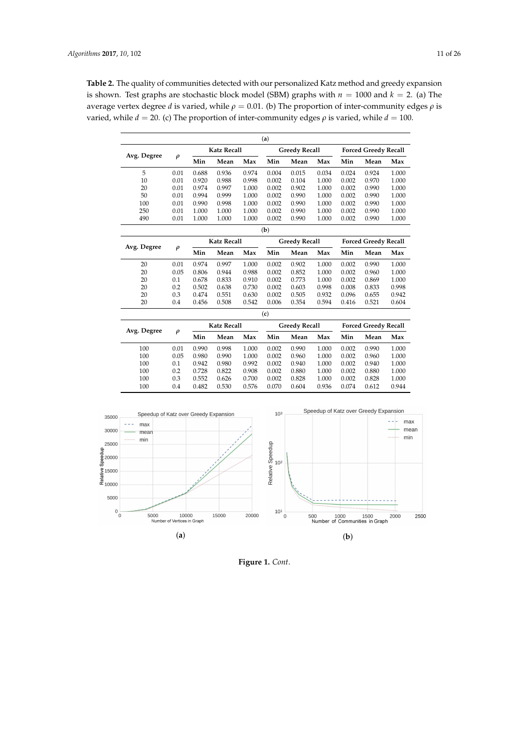<span id="page-10-0"></span>**Table 2.** The quality of communities detected with our personalized Katz method and greedy expansion is shown. Test graphs are stochastic block model (SBM) graphs with  $n = 1000$  and  $k = 2$ . (a) The average vertex degree *d* is varied, while  $ρ = 0.01$ . (b) The proportion of inter-community edges  $ρ$  is varied, while  $d = 20$ . (c) The proportion of inter-community edges  $\rho$  is varied, while  $d = 100$ .

| (a)                                                                                               |                    |       |                    |       |                      |                      |       |                             |                             |       |  |
|---------------------------------------------------------------------------------------------------|--------------------|-------|--------------------|-------|----------------------|----------------------|-------|-----------------------------|-----------------------------|-------|--|
| Avg. Degree                                                                                       |                    |       | <b>Katz Recall</b> |       |                      | <b>Greedy Recall</b> |       |                             | <b>Forced Greedy Recall</b> |       |  |
|                                                                                                   | $\rho$             | Min   | Mean               | Max   | Min                  | Mean                 | Max   | Min                         | Mean                        | Max   |  |
| 5                                                                                                 | 0.01               | 0.688 | 0.936              | 0.974 | 0.004                | 0.015                | 0.034 | 0.024                       | 0.924                       | 1.000 |  |
| 10                                                                                                | 0.01               | 0.920 | 0.988              | 0.998 | 0.002                | 0.104                | 1.000 | 0.002                       | 0.970                       | 1.000 |  |
| 20                                                                                                | 0.01               | 0.974 | 0.997              | 1.000 | 0.002                | 0.902                | 1.000 | 0.002                       | 0.990                       | 1.000 |  |
| 50                                                                                                | 0.01               | 0.994 | 0.999              | 1.000 | 0.002                | 0.990                | 1.000 | 0.002                       | 0.990                       | 1.000 |  |
| 100                                                                                               | 0.01               | 0.990 | 0.998              | 1.000 | 0.002                | 0.990                | 1.000 | 0.002                       | 0.990                       | 1.000 |  |
| 250                                                                                               | 0.01               | 1.000 | 1.000              | 1.000 | 0.002                | 0.990                | 1.000 | 0.002                       | 0.990                       | 1.000 |  |
| 490                                                                                               | 0.01               | 1.000 | 1.000              | 1.000 | 0.002                | 0.990                | 1.000 | 0.002                       | 0.990                       | 1.000 |  |
|                                                                                                   |                    |       |                    |       | (b)                  |                      |       |                             |                             |       |  |
|                                                                                                   | <b>Katz Recall</b> |       |                    |       | <b>Greedy Recall</b> |                      |       | <b>Forced Greedy Recall</b> |                             |       |  |
| Avg. Degree                                                                                       | $\rho$             | Min   | Mean               | Max   | Min                  | Mean                 | Max   | Min                         | Mean                        | Max   |  |
| 20                                                                                                | 0.01               | 0.974 | 0.997              | 1.000 | 0.002                | 0.902                | 1.000 | 0.002                       | 0.990                       | 1.000 |  |
| 20                                                                                                | 0.05               | 0.806 | 0.944              | 0.988 | 0.002                | 0.852                | 1.000 | 0.002                       | 0.960                       | 1.000 |  |
| 20                                                                                                | 0.1                | 0.678 | 0.833              | 0.910 | 0.002                | 0.773                | 1.000 | 0.002                       | 0.869                       | 1.000 |  |
| 20                                                                                                | 0.2                | 0.502 | 0.638              | 0.730 | 0.002                | 0.603                | 0.998 | 0.008                       | 0.833                       | 0.998 |  |
| 20                                                                                                | 0.3                | 0.474 | 0.551              | 0.630 | 0.002                | 0.505                | 0.932 | 0.096                       | 0.655                       | 0.942 |  |
| 20                                                                                                | 0.4                | 0.456 | 0.508              | 0.542 | 0.006                | 0.354                | 0.594 | 0.416                       | 0.521                       | 0.604 |  |
|                                                                                                   |                    |       |                    |       | (c)                  |                      |       |                             |                             |       |  |
| Avg. Degree                                                                                       |                    |       | <b>Katz Recall</b> |       |                      | <b>Greedy Recall</b> |       |                             | <b>Forced Greedy Recall</b> |       |  |
|                                                                                                   | $\rho$             | Min   | Mean               | Max   | Min                  | Mean                 | Max   | Min                         | Mean                        | Max   |  |
| 100                                                                                               | 0.01               | 0.990 | 0.998              | 1.000 | 0.002                | 0.990                | 1.000 | 0.002                       | 0.990                       | 1.000 |  |
| 100                                                                                               | 0.05               | 0.980 | 0.990              | 1.000 | 0.002                | 0.960                | 1.000 | 0.002                       | 0.960                       | 1.000 |  |
| 100                                                                                               | 0.1                | 0.942 | 0.980              | 0.992 | 0.002                | 0.940                | 1.000 | 0.002                       | 0.940                       | 1.000 |  |
| 100                                                                                               | 0.2                | 0.728 | 0.822              | 0.908 | 0.002                | 0.880                | 1.000 | 0.002                       | 0.880                       | 1.000 |  |
| 100                                                                                               | 0.3                | 0.552 | 0.626              | 0.700 | 0.002                | 0.828                | 1.000 | 0.002                       | 0.828                       | 1.000 |  |
| 100                                                                                               | 0.4                | 0.482 | 0.530              | 0.576 | 0.070                | 0.604                | 0.936 | 0.074                       | 0.612                       | 0.944 |  |
| Speedup of Katz over Greedy Expansion<br>10 <sup>3</sup><br>Speedup of Katz over Greedy Expansion |                    |       |                    |       |                      |                      |       |                             |                             |       |  |



<span id="page-10-2"></span><span id="page-10-1"></span>**Figure 1.** *Cont*.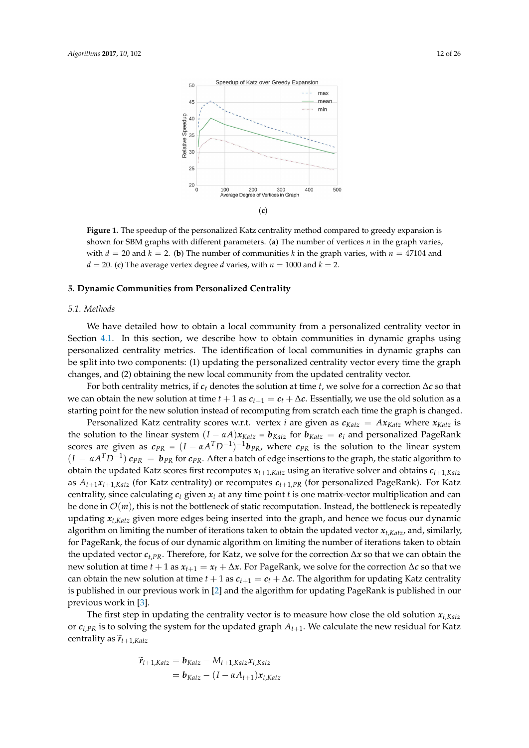<span id="page-11-2"></span><span id="page-11-1"></span>

**Figure 1.** The speedup of the personalized Katz centrality method compared to greedy expansion is shown for SBM graphs with different parameters. (**a**) The number of vertices *n* in the graph varies, with  $d = 20$  and  $k = 2$ . (**b**) The number of communities k in the graph varies, with  $n = 47104$  and  $d = 20$ . (c) The average vertex degree *d* varies, with  $n = 1000$  and  $k = 2$ .

# <span id="page-11-0"></span>**5. Dynamic Communities from Personalized Centrality**

# *5.1. Methods*

We have detailed how to obtain a local community from a personalized centrality vector in Section [4.1.](#page-7-1) In this section, we describe how to obtain communities in dynamic graphs using personalized centrality metrics. The identification of local communities in dynamic graphs can be split into two components: (1) updating the personalized centrality vector every time the graph changes, and (2) obtaining the new local community from the updated centrality vector.

For both centrality metrics, if *c<sup>t</sup>* denotes the solution at time *t*, we solve for a correction ∆*c* so that we can obtain the new solution at time  $t + 1$  as  $c_{t+1} = c_t + \Delta c$ . Essentially, we use the old solution as a starting point for the new solution instead of recomputing from scratch each time the graph is changed.

Personalized Katz centrality scores w.r.t. vertex *i* are given as  $c_{Katz} = Ax_{Katz}$  where  $x_{Katz}$  is the solution to the linear system  $(I - \alpha A)x_{Katz} = b_{Katz}$  for  $b_{Katz} = e_i$  and personalized PageRank scores are given as  $c_{PR} = (I - \alpha A^T D^{-1})^{-1} b_{PR}$ , where  $c_{PR}$  is the solution to the linear system  $(I - \alpha A^T D^{-1})$   $c_{PR} = b_{PR}$  for  $c_{PR}$ . After a batch of edge insertions to the graph, the static algorithm to obtain the updated Katz scores first recomputes *xt*+1,*Katz* using an iterative solver and obtains *ct*+1,*Katz* as  $A_{t+1}x_{t+1,katz}$  (for Katz centrality) or recomputes  $c_{t+1}$ , *PR* (for personalized PageRank). For Katz centrality, since calculating  $c_t$  given  $x_t$  at any time point  $t$  is one matrix-vector multiplication and can be done in  $\mathcal{O}(m)$ , this is not the bottleneck of static recomputation. Instead, the bottleneck is repeatedly updating *xt*,*Katz* given more edges being inserted into the graph, and hence we focus our dynamic algorithm on limiting the number of iterations taken to obtain the updated vector  $x_t$ ,  $K_{\alpha t}$ , and, similarly, for PageRank, the focus of our dynamic algorithm on limiting the number of iterations taken to obtain the updated vector *ct*,*PR*. Therefore, for Katz, we solve for the correction ∆*x* so that we can obtain the new solution at time *t* + 1 as  $x_{t+1} = x_t + \Delta x$ . For PageRank, we solve for the correction  $\Delta c$  so that we can obtain the new solution at time  $t + 1$  as  $c_{t+1} = c_t + \Delta c$ . The algorithm for updating Katz centrality is published in our previous work in [\[2\]](#page-23-23) and the algorithm for updating PageRank is published in our previous work in [\[3\]](#page-23-1).

The first step in updating the centrality vector is to measure how close the old solution *xt*,*Katz* or *ct*,*PR* is to solving the system for the updated graph *At*+1. We calculate the new residual for Katz centrality as  $\widetilde{r}_{t+1,Katz}$ 

$$
\widetilde{r}_{t+1,Katz} = \boldsymbol{b}_{Katz} - M_{t+1,Katz}\boldsymbol{x}_{t,Katz}
$$

$$
= \boldsymbol{b}_{Katz} - (I - \alpha A_{t+1})\boldsymbol{x}_{t,Katz}
$$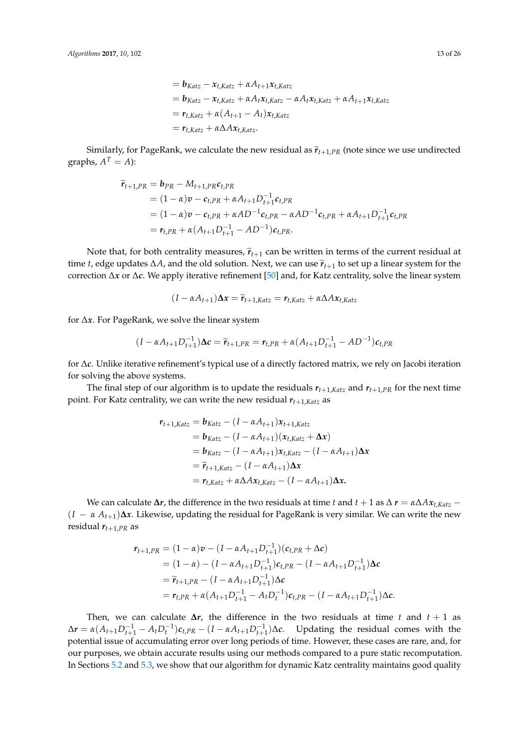$$
= \mathbf{b}_{Katz} - \mathbf{x}_{t,Katz} + \alpha A_{t+1} \mathbf{x}_{t,Katz}
$$
  
\n
$$
= \mathbf{b}_{Katz} - \mathbf{x}_{t,Katz} + \alpha A_t \mathbf{x}_{t,Katz} - \alpha A_t \mathbf{x}_{t,Katz} + \alpha A_{t+1} \mathbf{x}_{t,Katz}
$$
  
\n
$$
= \mathbf{r}_{t,Katz} + \alpha (A_{t+1} - A_t) \mathbf{x}_{t,Katz}
$$
  
\n
$$
= \mathbf{r}_{t,Katz} + \alpha \Delta A \mathbf{x}_{t,Katz}.
$$

Similarly, for PageRank, we calculate the new residual as  $\widetilde{r}_{t+1,PR}$  (note since we use undirected graphs,  $A^T = A$ ):

$$
\tilde{r}_{t+1,PR} = \mathbf{b}_{PR} - M_{t+1,PR} \mathbf{c}_{t,PR}
$$
\n
$$
= (1 - \alpha)\mathbf{v} - \mathbf{c}_{t,PR} + \alpha A_{t+1} D_{t+1}^{-1} \mathbf{c}_{t,PR}
$$
\n
$$
= (1 - \alpha)\mathbf{v} - \mathbf{c}_{t,PR} + \alpha A D^{-1} \mathbf{c}_{t,PR} - \alpha A D^{-1} \mathbf{c}_{t,PR} + \alpha A_{t+1} D_{t+1}^{-1} \mathbf{c}_{t,PR}
$$
\n
$$
= \mathbf{r}_{t,PR} + \alpha (A_{t+1} D_{t+1}^{-1} - A D^{-1}) \mathbf{c}_{t,PR}.
$$

Note that, for both centrality measures,  $\tilde{r}_{t+1}$  can be written in terms of the current residual at time *t*, edge updates  $\Delta A$ , and the old solution. Next, we can use  $\tilde{r}_{t+1}$  to set up a linear system for the correction ∆*x* or ∆*c*. We apply iterative refinement [\[50\]](#page-25-1) and, for Katz centrality, solve the linear system

$$
(I - \alpha A_{t+1})\Delta x = \widetilde{r}_{t+1, Katz} = r_{t, Katz} + \alpha \Delta Ax_{t, Katz}
$$

for ∆*x*. For PageRank, we solve the linear system

$$
(I - \alpha A_{t+1} D_{t+1}^{-1}) \Delta c = \tilde{r}_{t+1,PR} = r_{t,PR} + \alpha (A_{t+1} D_{t+1}^{-1} - A D^{-1}) c_{t,PR}
$$

for ∆*c*. Unlike iterative refinement's typical use of a directly factored matrix, we rely on Jacobi iteration for solving the above systems.

The final step of our algorithm is to update the residuals  $r_{t+1,Katz}$  and  $r_{t+1,PR}$  for the next time point. For Katz centrality, we can write the new residual *rt*+1,*Katz* as

$$
r_{t+1,Katz} = b_{Katz} - (I - \alpha A_{t+1})x_{t+1,Katz}
$$
  
=  $b_{Katz} - (I - \alpha A_{t+1})(x_{t,Katz} + \Delta x)$   
=  $b_{Katz} - (I - \alpha A_{t+1})x_{t,Katz} - (I - \alpha A_{t+1})\Delta x$   
=  $\tilde{r}_{t+1,Katz} - (I - \alpha A_{t+1})\Delta x$   
=  $r_{t,Katz} + \alpha \Delta Ax_{t,Katz} - (I - \alpha A_{t+1})\Delta x.$ 

We can calculate  $\Delta r$ , the difference in the two residuals at time *t* and  $t + 1$  as  $\Delta r = \alpha \Delta A x_{t,Katz}$  −  $(I - \alpha A_{t+1})\Delta x$ . Likewise, updating the residual for PageRank is very similar. We can write the new residual  $r_{t+1,PR}$  as

$$
r_{t+1,PR} = (1 - \alpha)v - (I - \alpha A_{t+1}D_{t+1}^{-1})(c_{t,PR} + \Delta c)
$$
  
=  $(1 - \alpha) - (I - \alpha A_{t+1}D_{t+1}^{-1})c_{t,PR} - (I - \alpha A_{t+1}D_{t+1}^{-1})\Delta c$   
=  $\tilde{r}_{t+1,PR} - (I - \alpha A_{t+1}D_{t+1}^{-1})\Delta c$   
=  $r_{t,PR} + \alpha(A_{t+1}D_{t+1}^{-1} - A_tD_t^{-1})c_{t,PR} - (I - \alpha A_{t+1}D_{t+1}^{-1})\Delta c$ .

Then, we can calculate  $\Delta r$ , the difference in the two residuals at time *t* and  $t + 1$  as  $\Delta r = \alpha (A_{t+1}D_{t+1}^{-1} - A_t D_t^{-1})c_{t,PR} - (I - \alpha A_{t+1}D_{t+1}^{-1})\Delta c$ . Updating the residual comes with the potential issue of accumulating error over long periods of time. However, these cases are rare, and, for our purposes, we obtain accurate results using our methods compared to a pure static recomputation. In Sections [5.2](#page-13-0) and [5.3,](#page-14-0) we show that our algorithm for dynamic Katz centrality maintains good quality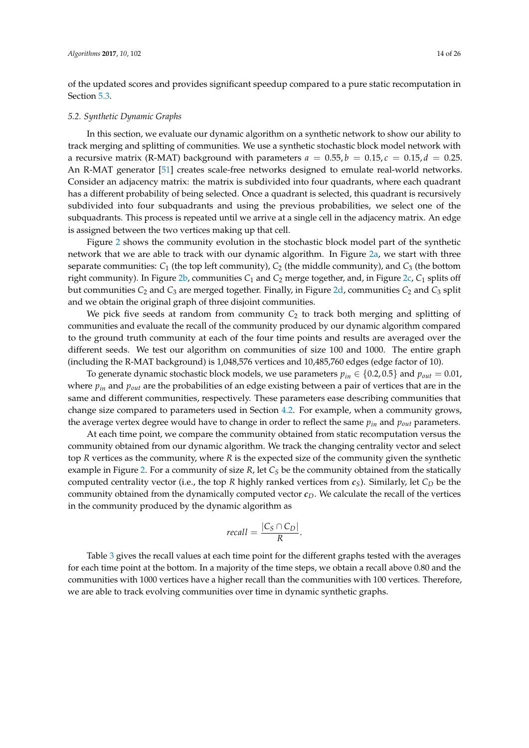of the updated scores and provides significant speedup compared to a pure static recomputation in Section [5.3.](#page-14-0)

# <span id="page-13-0"></span>*5.2. Synthetic Dynamic Graphs*

In this section, we evaluate our dynamic algorithm on a synthetic network to show our ability to track merging and splitting of communities. We use a synthetic stochastic block model network with a recursive matrix (R-MAT) background with parameters  $a = 0.55$ ,  $b = 0.15$ ,  $c = 0.15$ ,  $d = 0.25$ . An R-MAT generator [\[51\]](#page-25-2) creates scale-free networks designed to emulate real-world networks. Consider an adjacency matrix: the matrix is subdivided into four quadrants, where each quadrant has a different probability of being selected. Once a quadrant is selected, this quadrant is recursively subdivided into four subquadrants and using the previous probabilities, we select one of the subquadrants. This process is repeated until we arrive at a single cell in the adjacency matrix. An edge is assigned between the two vertices making up that cell.

Figure [2](#page-14-1) shows the community evolution in the stochastic block model part of the synthetic network that we are able to track with our dynamic algorithm. In Figure [2a,](#page-14-2) we start with three separate communities:  $C_1$  (the top left community),  $C_2$  (the middle community), and  $C_3$  (the bottom right community). In Figure [2b,](#page-14-3) communities *C*<sup>1</sup> and *C*<sup>2</sup> merge together, and, in Figure [2c,](#page-14-4) *C*<sup>1</sup> splits off but communities *C*<sup>2</sup> and *C*<sup>3</sup> are merged together. Finally, in Figure [2d,](#page-14-5) communities *C*<sup>2</sup> and *C*<sup>3</sup> split and we obtain the original graph of three disjoint communities.

We pick five seeds at random from community  $C_2$  to track both merging and splitting of communities and evaluate the recall of the community produced by our dynamic algorithm compared to the ground truth community at each of the four time points and results are averaged over the different seeds. We test our algorithm on communities of size 100 and 1000. The entire graph (including the R-MAT background) is 1,048,576 vertices and 10,485,760 edges (edge factor of 10).

To generate dynamic stochastic block models, we use parameters  $p_{in} \in \{0.2, 0.5\}$  and  $p_{out} = 0.01$ , where *pin* and *pout* are the probabilities of an edge existing between a pair of vertices that are in the same and different communities, respectively. These parameters ease describing communities that change size compared to parameters used in Section [4.2.](#page-7-2) For example, when a community grows, the average vertex degree would have to change in order to reflect the same *pin* and *pout* parameters.

At each time point, we compare the community obtained from static recomputation versus the community obtained from our dynamic algorithm. We track the changing centrality vector and select top *R* vertices as the community, where *R* is the expected size of the community given the synthetic example in Figure [2.](#page-14-1) For a community of size *R*, let *C<sup>S</sup>* be the community obtained from the statically computed centrality vector (i.e., the top *R* highly ranked vertices from  $c_S$ ). Similarly, let  $C_D$  be the community obtained from the dynamically computed vector *cD*. We calculate the recall of the vertices in the community produced by the dynamic algorithm as

$$
recall = \frac{|C_S \cap C_D|}{R}.
$$

Table [3](#page-14-6) gives the recall values at each time point for the different graphs tested with the averages for each time point at the bottom. In a majority of the time steps, we obtain a recall above 0.80 and the communities with 1000 vertices have a higher recall than the communities with 100 vertices. Therefore, we are able to track evolving communities over time in dynamic synthetic graphs.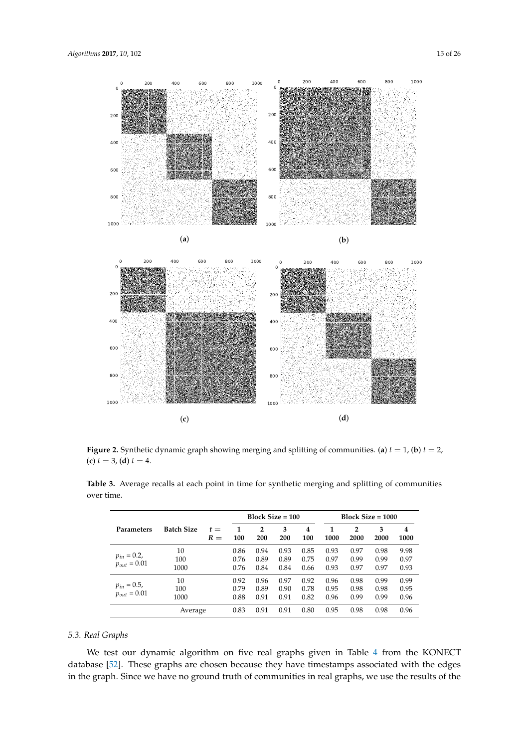<span id="page-14-3"></span><span id="page-14-2"></span><span id="page-14-1"></span>

<span id="page-14-4"></span>**Figure 2.** Synthetic dynamic graph showing merging and splitting of communities. (**a**) *t* = 1, (**b**) *t* = 2, (c)  $t = 3$ , (d)  $t = 4$ .

<span id="page-14-5"></span>

|                                      |                   |                | Block $Size = 100$   |                       |                      |                       | $Block Size = 1000$  |                        |                      |                      |  |
|--------------------------------------|-------------------|----------------|----------------------|-----------------------|----------------------|-----------------------|----------------------|------------------------|----------------------|----------------------|--|
| <b>Parameters</b>                    | <b>Batch Size</b> | $t =$<br>$R =$ | 1<br>100             | $\overline{2}$<br>200 | 3<br>200             | $\overline{4}$<br>100 | 1<br>1000            | $\overline{2}$<br>2000 | 3<br>2000            | 4<br>1000            |  |
| $p_{in} = 0.2,$<br>$p_{out} = 0.01$  | 10<br>100<br>1000 |                | 0.86<br>0.76<br>0.76 | 0.94<br>0.89<br>0.84  | 0.93<br>0.89<br>0.84 | 0.85<br>0.75<br>0.66  | 0.93<br>0.97<br>0.93 | 0.97<br>0.99<br>0.97   | 0.98<br>0.99<br>0.97 | 9.98<br>0.97<br>0.93 |  |
| $p_{in} = 0.5$ ,<br>$p_{out} = 0.01$ | 10<br>100<br>1000 |                | 0.92<br>0.79<br>0.88 | 0.96<br>0.89<br>0.91  | 0.97<br>0.90<br>0.91 | 0.92<br>0.78<br>0.82  | 0.96<br>0.95<br>0.96 | 0.98<br>0.98<br>0.99   | 0.99<br>0.98<br>0.99 | 0.99<br>0.95<br>0.96 |  |
|                                      | Average           |                | 0.83                 | 0.91                  | 0.91                 | 0.80                  | 0.95                 | 0.98                   | 0.98                 | 0.96                 |  |

<span id="page-14-6"></span>**Table 3.** Average recalls at each point in time for synthetic merging and splitting of communities over time.

# <span id="page-14-0"></span>*5.3. Real Graphs*

We test our dynamic algorithm on five real graphs given in Table [4](#page-15-0) from the KONECT database [\[52\]](#page-25-3). These graphs are chosen because they have timestamps associated with the edges in the graph. Since we have no ground truth of communities in real graphs, we use the results of the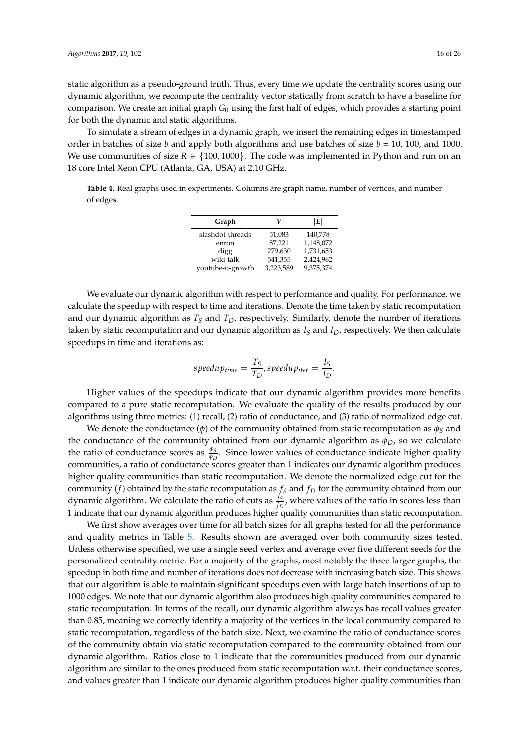static algorithm as a pseudo-ground truth. Thus, every time we update the centrality scores using our dynamic algorithm, we recompute the centrality vector statically from scratch to have a baseline for comparison. We create an initial graph *G*<sup>0</sup> using the first half of edges, which provides a starting point for both the dynamic and static algorithms.

To simulate a stream of edges in a dynamic graph, we insert the remaining edges in timestamped order in batches of size *b* and apply both algorithms and use batches of size *b* = 10, 100, and 1000. We use communities of size  $R \in \{100, 1000\}$ . The code was implemented in Python and run on an 18 core Intel Xeon CPU (Atlanta, GA, USA) at 2.10 GHz.

<span id="page-15-0"></span>**Table 4.** Real graphs used in experiments. Columns are graph name, number of vertices, and number of edges.

| Graph            | IVI       | E         |
|------------------|-----------|-----------|
| slashdot-threads | 51,083    | 140,778   |
| enron            | 87.221    | 1,148,072 |
| digg             | 279,630   | 1,731,653 |
| wiki-talk        | 541,355   | 2,424,962 |
| youtube-u-growth | 3.223.589 | 9,375,374 |

We evaluate our dynamic algorithm with respect to performance and quality. For performance, we calculate the speedup with respect to time and iterations. Denote the time taken by static recomputation and our dynamic algorithm as  $T<sub>S</sub>$  and  $T<sub>D</sub>$ , respectively. Similarly, denote the number of iterations taken by static recomputation and our dynamic algorithm as *I<sup>S</sup>* and *ID*, respectively. We then calculate speedups in time and iterations as:

$$
speedup_{time} = \frac{T_S}{T_D}, speedup_{iter} = \frac{I_S}{I_D}.
$$

Higher values of the speedups indicate that our dynamic algorithm provides more benefits compared to a pure static recomputation. We evaluate the quality of the results produced by our algorithms using three metrics: (1) recall, (2) ratio of conductance, and (3) ratio of normalized edge cut.

We denote the conductance ( $\phi$ ) of the community obtained from static recomputation as  $\phi_S$  and the conductance of the community obtained from our dynamic algorithm as  $\phi_D$ , so we calculate the ratio of conductance scores as  $\frac{\phi_S}{\phi_D}$ . Since lower values of conductance indicate higher quality communities, a ratio of conductance scores greater than 1 indicates our dynamic algorithm produces higher quality communities than static recomputation. We denote the normalized edge cut for the community (*f*) obtained by the static recomputation as  $f_S$  and  $f_D$  for the community obtained from our dynamic algorithm. We calculate the ratio of cuts as  $\frac{f_S}{f_D}$ , where values of the ratio in scores less than 1 indicate that our dynamic algorithm produces higher quality communities than static recomputation.

We first show averages over time for all batch sizes for all graphs tested for all the performance and quality metrics in Table [5.](#page-16-0) Results shown are averaged over both community sizes tested. Unless otherwise specified, we use a single seed vertex and average over five different seeds for the personalized centrality metric. For a majority of the graphs, most notably the three larger graphs, the speedup in both time and number of iterations does not decrease with increasing batch size. This shows that our algorithm is able to maintain significant speedups even with large batch insertions of up to 1000 edges. We note that our dynamic algorithm also produces high quality communities compared to static recomputation. In terms of the recall, our dynamic algorithm always has recall values greater than 0.85, meaning we correctly identify a majority of the vertices in the local community compared to static recomputation, regardless of the batch size. Next, we examine the ratio of conductance scores of the community obtain via static recomputation compared to the community obtained from our dynamic algorithm. Ratios close to 1 indicate that the communities produced from our dynamic algorithm are similar to the ones produced from static recomputation w.r.t. their conductance scores, and values greater than 1 indicate our dynamic algorithm produces higher quality communities than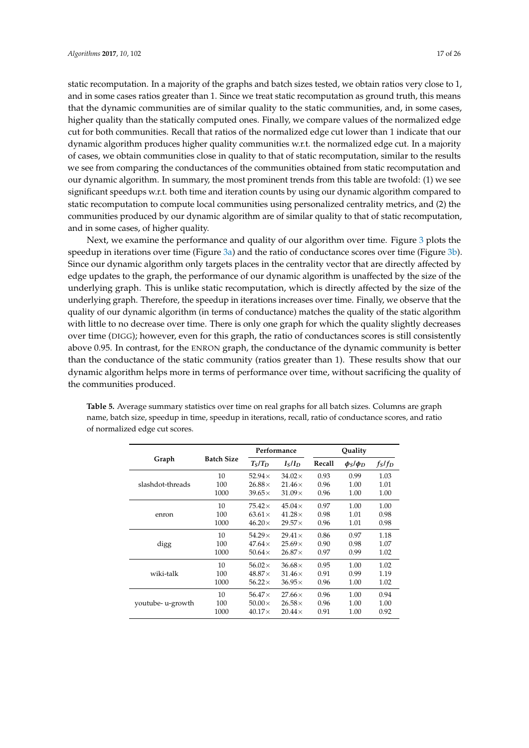static recomputation. In a majority of the graphs and batch sizes tested, we obtain ratios very close to 1, and in some cases ratios greater than 1. Since we treat static recomputation as ground truth, this means that the dynamic communities are of similar quality to the static communities, and, in some cases, higher quality than the statically computed ones. Finally, we compare values of the normalized edge cut for both communities. Recall that ratios of the normalized edge cut lower than 1 indicate that our dynamic algorithm produces higher quality communities w.r.t. the normalized edge cut. In a majority of cases, we obtain communities close in quality to that of static recomputation, similar to the results we see from comparing the conductances of the communities obtained from static recomputation and our dynamic algorithm. In summary, the most prominent trends from this table are twofold: (1) we see significant speedups w.r.t. both time and iteration counts by using our dynamic algorithm compared to static recomputation to compute local communities using personalized centrality metrics, and (2) the communities produced by our dynamic algorithm are of similar quality to that of static recomputation, and in some cases, of higher quality.

Next, we examine the performance and quality of our algorithm over time. Figure [3](#page-17-0) plots the speedup in iterations over time (Figure [3a\)](#page-17-1) and the ratio of conductance scores over time (Figure [3b\)](#page-17-2). Since our dynamic algorithm only targets places in the centrality vector that are directly affected by edge updates to the graph, the performance of our dynamic algorithm is unaffected by the size of the underlying graph. This is unlike static recomputation, which is directly affected by the size of the underlying graph. Therefore, the speedup in iterations increases over time. Finally, we observe that the quality of our dynamic algorithm (in terms of conductance) matches the quality of the static algorithm with little to no decrease over time. There is only one graph for which the quality slightly decreases over time (DIGG); however, even for this graph, the ratio of conductances scores is still consistently above 0.95. In contrast, for the ENRON graph, the conductance of the dynamic community is better than the conductance of the static community (ratios greater than 1). These results show that our dynamic algorithm helps more in terms of performance over time, without sacrificing the quality of the communities produced.

|                   |                   |                | Performance                    | Quality |                 |           |  |
|-------------------|-------------------|----------------|--------------------------------|---------|-----------------|-----------|--|
| Graph             | <b>Batch Size</b> | $T_S/T_D$      | I <sub>S</sub> /I <sub>D</sub> | Recall  | $\phi_S/\phi_D$ | $f_S/f_D$ |  |
|                   | 10                | 52.94 $\times$ | $34.02\times$                  | 0.93    | 0.99            | 1.03      |  |
| slashdot-threads  | 100               | $26.88\times$  | $21.46\times$                  | 0.96    | 1.00            | 1.01      |  |
|                   | 1000              | $39.65\times$  | $31.09\times$                  | 0.96    | 1.00            | 1.00      |  |
|                   | 10                | $75.42\times$  | $45.04\times$                  | 0.97    | 1.00            | 1.00      |  |
| enron             | 100               | $63.61\times$  | $41.28\times$                  | 0.98    | 1.01            | 0.98      |  |
|                   | 1000              | $46.20\times$  | $29.57\times$                  | 0.96    | 1.01            | 0.98      |  |
|                   | 10                | $54.29\times$  | $29.41\times$                  | 0.86    | 0.97            | 1.18      |  |
| digg              | 100               | $47.64\times$  | $25.69\times$                  | 0.90    | 0.98            | 1.07      |  |
|                   | 1000              | 50.64 $\times$ | $26.87\times$                  | 0.97    | 0.99            | 1.02      |  |
|                   | 10                | $56.02\times$  | $36.68\times$                  | 0.95    | 1.00            | 1.02      |  |
| wiki-talk         | 100               | $48.87\times$  | $31.46\times$                  | 0.91    | 0.99            | 1.19      |  |
|                   | 1000              | $56.22\times$  | $36.95\times$                  | 0.96    | 1.00            | 1.02      |  |
|                   | 10                | 56.47 $\times$ | $27.66\times$                  | 0.96    | 1.00            | 0.94      |  |
| youtube- u-growth | 100               | $50.00\times$  | $26.58\times$                  | 0.96    | 1.00            | 1.00      |  |
|                   | 1000              | $40.17\times$  | $20.44\times$                  | 0.91    | 1.00            | 0.92      |  |

<span id="page-16-0"></span>**Table 5.** Average summary statistics over time on real graphs for all batch sizes. Columns are graph name, batch size, speedup in time, speedup in iterations, recall, ratio of conductance scores, and ratio of normalized edge cut scores.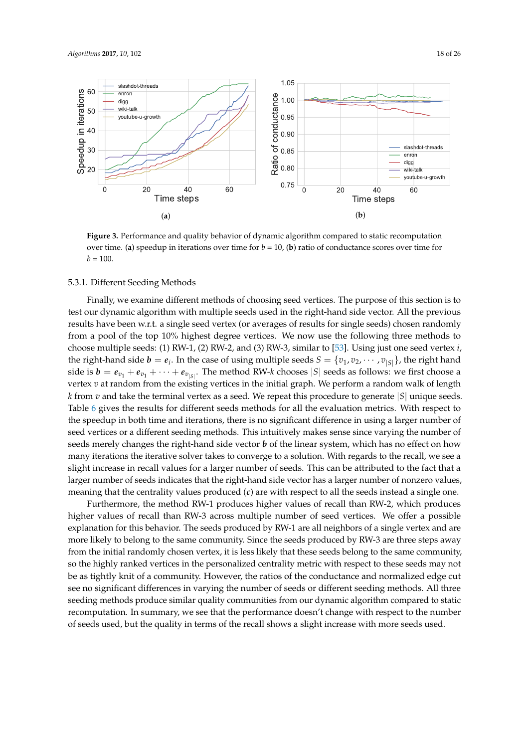<span id="page-17-0"></span>

<span id="page-17-2"></span><span id="page-17-1"></span>**Figure 3.** Performance and quality behavior of dynamic algorithm compared to static recomputation over time. (**a**) speedup in iterations over time for  $b = 10$ , (**b**) ratio of conductance scores over time for  $b = 100.$ 

# 5.3.1. Different Seeding Methods

Finally, we examine different methods of choosing seed vertices. The purpose of this section is to test our dynamic algorithm with multiple seeds used in the right-hand side vector. All the previous results have been w.r.t. a single seed vertex (or averages of results for single seeds) chosen randomly from a pool of the top 10% highest degree vertices. We now use the following three methods to choose multiple seeds: (1) RW-1, (2) RW-2, and (3) RW-3, similar to [\[53\]](#page-25-4). Using just one seed vertex *i*, the right-hand side  $b = e_i$ . In the case of using multiple seeds  $S = \{v_1, v_2, \cdots, v_{|S|}\}\)$ , the right hand side is  $b = e_{v_1} + e_{v_1} + \cdots + e_{v_{|S|}}$ . The method RW-*k* chooses  $|S|$  seeds as follows: we first choose a vertex *v* at random from the existing vertices in the initial graph. We perform a random walk of length *k* from *v* and take the terminal vertex as a seed. We repeat this procedure to generate |*S*| unique seeds. Table [6](#page-18-1) gives the results for different seeds methods for all the evaluation metrics. With respect to the speedup in both time and iterations, there is no significant difference in using a larger number of seed vertices or a different seeding methods. This intuitively makes sense since varying the number of seeds merely changes the right-hand side vector *b* of the linear system, which has no effect on how many iterations the iterative solver takes to converge to a solution. With regards to the recall, we see a slight increase in recall values for a larger number of seeds. This can be attributed to the fact that a larger number of seeds indicates that the right-hand side vector has a larger number of nonzero values, meaning that the centrality values produced (*c*) are with respect to all the seeds instead a single one.

Furthermore, the method RW-1 produces higher values of recall than RW-2, which produces higher values of recall than RW-3 across multiple number of seed vertices. We offer a possible explanation for this behavior. The seeds produced by RW-1 are all neighbors of a single vertex and are more likely to belong to the same community. Since the seeds produced by RW-3 are three steps away from the initial randomly chosen vertex, it is less likely that these seeds belong to the same community, so the highly ranked vertices in the personalized centrality metric with respect to these seeds may not be as tightly knit of a community. However, the ratios of the conductance and normalized edge cut see no significant differences in varying the number of seeds or different seeding methods. All three seeding methods produce similar quality communities from our dynamic algorithm compared to static recomputation. In summary, we see that the performance doesn't change with respect to the number of seeds used, but the quality in terms of the recall shows a slight increase with more seeds used.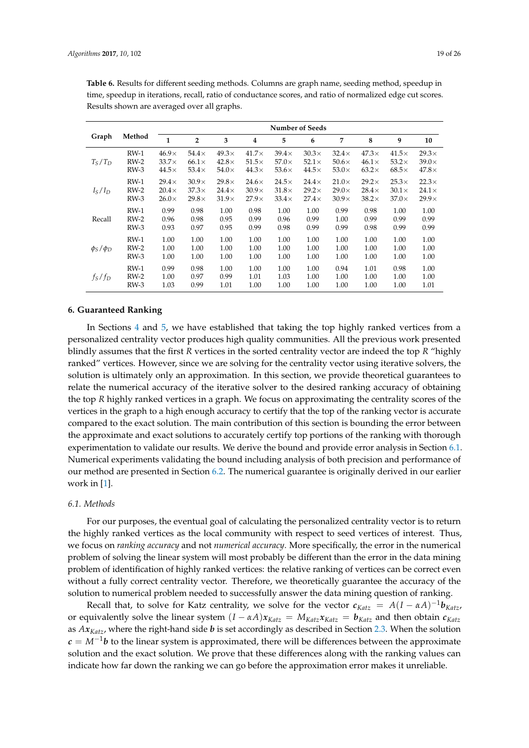|                 |        | <b>Number of Seeds</b> |                |              |              |              |              |              |              |              |              |
|-----------------|--------|------------------------|----------------|--------------|--------------|--------------|--------------|--------------|--------------|--------------|--------------|
| Graph           | Method | $\mathbf{1}$           | $\overline{2}$ | 3            | 4            | 5            | 6            | 7            | 8            | 9            | 10           |
| $T_S/T_D$       | $RW-1$ | $46.9\times$           | $54.4\times$   | $49.3\times$ | $41.7\times$ | $39.4\times$ | $30.3\times$ | $32.4\times$ | $47.3\times$ | $41.5\times$ | $29.3\times$ |
|                 | $RW-2$ | $33.7\times$           | $66.1\times$   | $42.8\times$ | $51.5\times$ | $57.0\times$ | $52.1\times$ | $50.6\times$ | $46.1\times$ | $53.2\times$ | $39.0\times$ |
|                 | $RW-3$ | $44.5\times$           | $53.4\times$   | $54.0\times$ | $44.3\times$ | $53.6\times$ | $44.5\times$ | $53.0\times$ | $63.2\times$ | $68.5\times$ | $47.8\times$ |
| $I_S/I_D$       | $RW-1$ | $29.4\times$           | $30.9\times$   | $29.8\times$ | $24.6\times$ | $24.5\times$ | $24.4\times$ | $21.0\times$ | $29.2\times$ | $25.3\times$ | $22.3\times$ |
|                 | $RW-2$ | $20.4\times$           | $37.3\times$   | $24.4\times$ | $30.9\times$ | $31.8\times$ | $29.2\times$ | $29.0\times$ | $28.4\times$ | $30.1\times$ | $24.1\times$ |
|                 | $RW-3$ | $26.0\times$           | $29.8\times$   | $31.9\times$ | $27.9\times$ | $33.4\times$ | $27.4\times$ | $30.9\times$ | $38.2\times$ | $37.0\times$ | $29.9\times$ |
| Recall          | $RW-1$ | 0.99                   | 0.98           | 1.00         | 0.98         | 1.00         | 1.00         | 0.99         | 0.98         | 1.00         | 1.00         |
|                 | $RW-2$ | 0.96                   | 0.98           | 0.95         | 0.99         | 0.96         | 0.99         | 1.00         | 0.99         | 0.99         | 0.99         |
|                 | $RW-3$ | 0.93                   | 0.97           | 0.95         | 0.99         | 0.98         | 0.99         | 0.99         | 0.98         | 0.99         | 0.99         |
| $\phi_S/\phi_D$ | $RW-1$ | 1.00                   | 1.00           | 1.00         | 1.00         | 1.00         | 1.00         | 1.00         | 1.00         | 1.00         | 1.00         |
|                 | $RW-2$ | 1.00                   | 1.00           | 1.00         | 1.00         | 1.00         | 1.00         | 1.00         | 1.00         | 1.00         | 1.00         |
|                 | $RW-3$ | 1.00                   | 1.00           | 1.00         | 1.00         | 1.00         | 1.00         | 1.00         | 1.00         | 1.00         | 1.00         |
| $f_S/f_D$       | $RW-1$ | 0.99                   | 0.98           | 1.00         | 1.00         | 1.00         | 1.00         | 0.94         | 1.01         | 0.98         | 1.00         |
|                 | $RW-2$ | 1.00                   | 0.97           | 0.99         | 1.01         | 1.03         | 1.00         | 1.00         | 1.00         | 1.00         | 1.00         |
|                 | $RW-3$ | 1.03                   | 0.99           | 1.01         | 1.00         | 1.00         | 1.00         | 1.00         | 1.00         | 1.00         | 1.01         |

<span id="page-18-1"></span>**Table 6.** Results for different seeding methods. Columns are graph name, seeding method, speedup in time, speedup in iterations, recall, ratio of conductance scores, and ratio of normalized edge cut scores. Results shown are averaged over all graphs.

#### <span id="page-18-0"></span>**6. Guaranteed Ranking**

In Sections [4](#page-7-0) and [5,](#page-11-0) we have established that taking the top highly ranked vertices from a personalized centrality vector produces high quality communities. All the previous work presented blindly assumes that the first *R* vertices in the sorted centrality vector are indeed the top *R* "highly ranked" vertices. However, since we are solving for the centrality vector using iterative solvers, the solution is ultimately only an approximation. In this section, we provide theoretical guarantees to relate the numerical accuracy of the iterative solver to the desired ranking accuracy of obtaining the top *R* highly ranked vertices in a graph. We focus on approximating the centrality scores of the vertices in the graph to a high enough accuracy to certify that the top of the ranking vector is accurate compared to the exact solution. The main contribution of this section is bounding the error between the approximate and exact solutions to accurately certify top portions of the ranking with thorough experimentation to validate our results. We derive the bound and provide error analysis in Section [6.1.](#page-18-2) Numerical experiments validating the bound including analysis of both precision and performance of our method are presented in Section [6.2.](#page-20-0) The numerical guarantee is originally derived in our earlier work in [\[1\]](#page-23-0).

# <span id="page-18-2"></span>*6.1. Methods*

For our purposes, the eventual goal of calculating the personalized centrality vector is to return the highly ranked vertices as the local community with respect to seed vertices of interest. Thus, we focus on *ranking accuracy* and not *numerical accuracy*. More specifically, the error in the numerical problem of solving the linear system will most probably be different than the error in the data mining problem of identification of highly ranked vertices: the relative ranking of vertices can be correct even without a fully correct centrality vector. Therefore, we theoretically guarantee the accuracy of the solution to numerical problem needed to successfully answer the data mining question of ranking.

Recall that, to solve for Katz centrality, we solve for the vector  $c_{Katz} = A(I - \alpha A)^{-1}b_{Katz}$ , or equivalently solve the linear system  $(I - \alpha A)x_{Katz} = M_{Katz}x_{Katz} = b_{Katz}$  and then obtain  $c_{Katz}$ as *AxKatz*, where the right-hand side *b* is set accordingly as described in Section [2.3.](#page-3-0) When the solution  $c = M^{-1}b$  to the linear system is approximated, there will be differences between the approximate solution and the exact solution. We prove that these differences along with the ranking values can indicate how far down the ranking we can go before the approximation error makes it unreliable.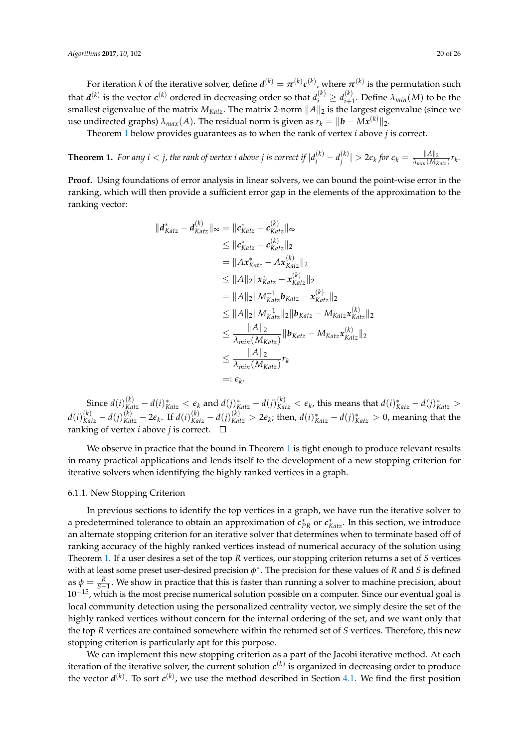For iteration  $k$  of the iterative solver, define  $d^{(k)} = \pi^{(k)} c^{(k)}$ , where  $\pi^{(k)}$  is the permutation such that  $d^{(k)}$  is the vector  $c^{(k)}$  ordered in decreasing order so that  $d^{(k)}_i \geq d^{(k)}_{i+1}$  $\lambda_{min}(M)$  to be the smallest eigenvalue of the matrix  $M_{Katz}$ . The matrix 2-norm  $||A||_2$  is the largest eigenvalue (since we use undirected graphs)  $\lambda_{max}(A)$ . The residual norm is given as  $r_k = ||\bm{b} - M\bm{x}^{(k)}||_2$ .

Theorem [1](#page-19-0) below provides guarantees as to when the rank of vertex *i* above *j* is correct.

<span id="page-19-0"></span>**Theorem 1.** For any  $i < j$ , the rank of vertex  $i$  above  $j$  is correct if  $|d_i^{(k)} - d_j^{(k)}|$  $\left|\frac{\partial f}{\partial t}\right| > 2\epsilon_k$  for  $\epsilon_k = \frac{\|A\|_2}{\lambda_{min}(M_k)}$  $\frac{||A||_2}{\lambda_{min}(M_{Katz})} r_k$ .

**Proof.** Using foundations of error analysis in linear solvers, we can bound the point-wise error in the ranking, which will then provide a sufficient error gap in the elements of the approximation to the ranking vector:

$$
||d_{Katz}^{*} - d_{Katz}^{(k)}||_{\infty} = ||c_{Katz}^{*} - c_{Katz}^{(k)}||_{\infty}
$$
  
\n
$$
\leq ||c_{Katz}^{*} - c_{Katz}^{(k)}||_{2}
$$
  
\n
$$
= ||Ax_{Katz}^{*} - Ax_{Katz}^{(k)}||_{2}
$$
  
\n
$$
\leq ||A||_{2}||x_{Katz}^{*} - x_{Katz}^{(k)}||_{2}
$$
  
\n
$$
= ||A||_{2}||M_{Katz}^{-1}b_{Katz} - x_{Katz}^{(k)}||_{2}
$$
  
\n
$$
\leq ||A||_{2}||M_{Katz}^{-1}||_{2}||b_{Katz} - M_{Katz}x_{Katz}^{(k)}||_{2}
$$
  
\n
$$
\leq \frac{||A||_{2}}{\lambda_{min}(M_{Katz})}||b_{Katz} - M_{Katz}x_{Katz}^{(k)}||_{2}
$$
  
\n
$$
\leq \frac{||A||_{2}}{\lambda_{min}(M_{Katz})}r_{k}
$$
  
\n
$$
=: \epsilon_{k}.
$$

Since  $d(i)_{Katz}^{(k)}-d(i)_{Katz}^* < \epsilon_k$  and  $d(j)_{Katz}^*-d(j)_{Katz}^{(k)} < \epsilon_k$ , this means that  $d(i)_{Katz}^*-d(j)_{Katz}^* >$  $d(i)^{(k)}_{Katz}-d(j)^{(k)}_{Katz}-2\varepsilon_k$ . If  $d(i)^{(k)}_{Katz}-d(j)^{(k)}_{Katz}>2\varepsilon_k$ ; then,  $d(i)^*_{Katz}-d(j)^*_{Katz}>0$ , meaning that the ranking of vertex *i* above *j* is correct.  $\square$ 

We observe in practice that the bound in Theorem  $1$  is tight enough to produce relevant results in many practical applications and lends itself to the development of a new stopping criterion for iterative solvers when identifying the highly ranked vertices in a graph.

# 6.1.1. New Stopping Criterion

In previous sections to identify the top vertices in a graph, we have run the iterative solver to a predetermined tolerance to obtain an approximation of  $c_{PR}^*$  or  $c_{Katz}^*$ . In this section, we introduce an alternate stopping criterion for an iterative solver that determines when to terminate based off of ranking accuracy of the highly ranked vertices instead of numerical accuracy of the solution using Theorem [1.](#page-19-0) If a user desires a set of the top *R* vertices, our stopping criterion returns a set of *S* vertices with at least some preset user-desired precision *φ* ∗ . The precision for these values of *R* and *S* is defined as  $\phi = \frac{R}{S-1}$ . We show in practice that this is faster than running a solver to machine precision, about  $10^{-15}$ , which is the most precise numerical solution possible on a computer. Since our eventual goal is local community detection using the personalized centrality vector, we simply desire the set of the highly ranked vertices without concern for the internal ordering of the set, and we want only that the top *R* vertices are contained somewhere within the returned set of *S* vertices. Therefore, this new stopping criterion is particularly apt for this purpose.

We can implement this new stopping criterion as a part of the Jacobi iterative method. At each iteration of the iterative solver, the current solution  $c^{(k)}$  is organized in decreasing order to produce the vector  $d^{(k)}$ . To sort  $c^{(k)}$ , we use the method described in Section [4.1.](#page-7-1) We find the first position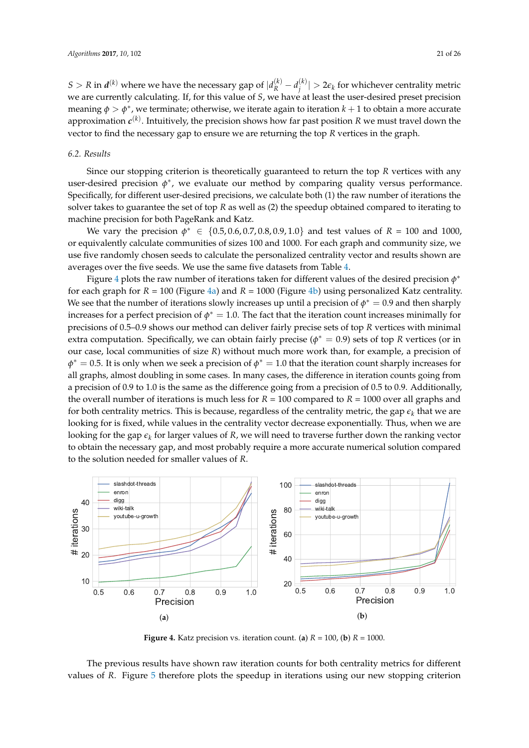$S > R$  in  $d^{(k)}$  where we have the necessary gap of  $|d^{(k)}_R - d^{(k)}_j|$  $\left|\frac{\partial f}{\partial t}\right| > 2\epsilon_k$  for whichever centrality metric we are currently calculating. If, for this value of *S*, we have at least the user-desired preset precision meaning  $\phi > \phi^*$ , we terminate; otherwise, we iterate again to iteration  $k+1$  to obtain a more accurate approximation *c* (*k*) . Intuitively, the precision shows how far past position *R* we must travel down the vector to find the necessary gap to ensure we are returning the top *R* vertices in the graph.

# <span id="page-20-0"></span>*6.2. Results*

Since our stopping criterion is theoretically guaranteed to return the top *R* vertices with any user-desired precision  $\phi^*$ , we evaluate our method by comparing quality versus performance. Specifically, for different user-desired precisions, we calculate both (1) the raw number of iterations the solver takes to guarantee the set of top *R* as well as (2) the speedup obtained compared to iterating to machine precision for both PageRank and Katz.

We vary the precision  $\phi^* \in \{0.5, 0.6, 0.7, 0.8, 0.9, 1.0\}$  and test values of  $R = 100$  and 1000, or equivalently calculate communities of sizes 100 and 1000. For each graph and community size, we use five randomly chosen seeds to calculate the personalized centrality vector and results shown are averages over the five seeds. We use the same five datasets from Table [4.](#page-15-0)

Figure [4](#page-20-1) plots the raw number of iterations taken for different values of the desired precision  $\phi^*$ for each graph for  $R = 100$  (Figure [4a\)](#page-20-2) and  $R = 1000$  (Figure [4b\)](#page-20-3) using personalized Katz centrality. We see that the number of iterations slowly increases up until a precision of  $\phi^* = 0.9$  and then sharply increases for a perfect precision of  $\phi^* = 1.0$ . The fact that the iteration count increases minimally for precisions of 0.5–0.9 shows our method can deliver fairly precise sets of top *R* vertices with minimal extra computation. Specifically, we can obtain fairly precise ( $\phi^* = 0.9$ ) sets of top *R* vertices (or in our case, local communities of size *R*) without much more work than, for example, a precision of  $\phi^* = 0.5$ . It is only when we seek a precision of  $\phi^* = 1.0$  that the iteration count sharply increases for all graphs, almost doubling in some cases. In many cases, the difference in iteration counts going from a precision of 0.9 to 1.0 is the same as the difference going from a precision of 0.5 to 0.9. Additionally, the overall number of iterations is much less for *R* = 100 compared to *R* = 1000 over all graphs and for both centrality metrics. This is because, regardless of the centrality metric, the gap  $\epsilon_k$  that we are looking for is fixed, while values in the centrality vector decrease exponentially. Thus, when we are looking for the gap  $\epsilon_k$  for larger values of *R*, we will need to traverse further down the ranking vector to obtain the necessary gap, and most probably require a more accurate numerical solution compared to the solution needed for smaller values of *R*.

<span id="page-20-1"></span>

<span id="page-20-3"></span><span id="page-20-2"></span>**Figure 4.** Katz precision vs. iteration count. (a)  $R = 100$ , (b)  $R = 1000$ .

The previous results have shown raw iteration counts for both centrality metrics for different values of *R*. Figure [5](#page-21-0) therefore plots the speedup in iterations using our new stopping criterion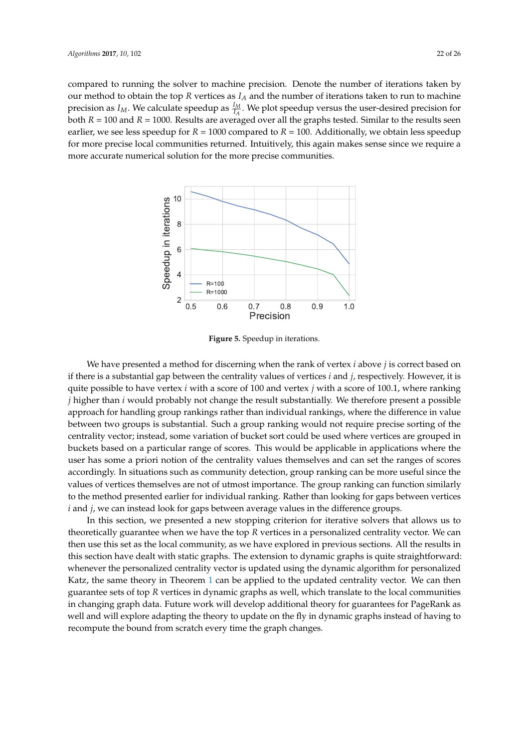<span id="page-21-0"></span>compared to running the solver to machine precision. Denote the number of iterations taken by our method to obtain the top *R* vertices as *I<sup>A</sup>* and the number of iterations taken to run to machine precision as  $I_M$ . We calculate speedup as  $\frac{I_M}{I_A}$ . We plot speedup versus the user-desired precision for both *R* = 100 and *R* = 1000. Results are averaged over all the graphs tested. Similar to the results seen earlier, we see less speedup for  $R = 1000$  compared to  $R = 100$ . Additionally, we obtain less speedup for more precise local communities returned. Intuitively, this again makes sense since we require a more accurate numerical solution for the more precise communities.



**Figure 5.** Speedup in iterations.

We have presented a method for discerning when the rank of vertex *i* above *j* is correct based on if there is a substantial gap between the centrality values of vertices *i* and *j*, respectively. However, it is quite possible to have vertex *i* with a score of 100 and vertex *j* with a score of 100.1, where ranking *j* higher than *i* would probably not change the result substantially. We therefore present a possible approach for handling group rankings rather than individual rankings, where the difference in value between two groups is substantial. Such a group ranking would not require precise sorting of the centrality vector; instead, some variation of bucket sort could be used where vertices are grouped in buckets based on a particular range of scores. This would be applicable in applications where the user has some a priori notion of the centrality values themselves and can set the ranges of scores accordingly. In situations such as community detection, group ranking can be more useful since the values of vertices themselves are not of utmost importance. The group ranking can function similarly to the method presented earlier for individual ranking. Rather than looking for gaps between vertices *i* and *j*, we can instead look for gaps between average values in the difference groups.

In this section, we presented a new stopping criterion for iterative solvers that allows us to theoretically guarantee when we have the top *R* vertices in a personalized centrality vector. We can then use this set as the local community, as we have explored in previous sections. All the results in this section have dealt with static graphs. The extension to dynamic graphs is quite straightforward: whenever the personalized centrality vector is updated using the dynamic algorithm for personalized Katz, the same theory in Theorem [1](#page-19-0) can be applied to the updated centrality vector. We can then guarantee sets of top *R* vertices in dynamic graphs as well, which translate to the local communities in changing graph data. Future work will develop additional theory for guarantees for PageRank as well and will explore adapting the theory to update on the fly in dynamic graphs instead of having to recompute the bound from scratch every time the graph changes.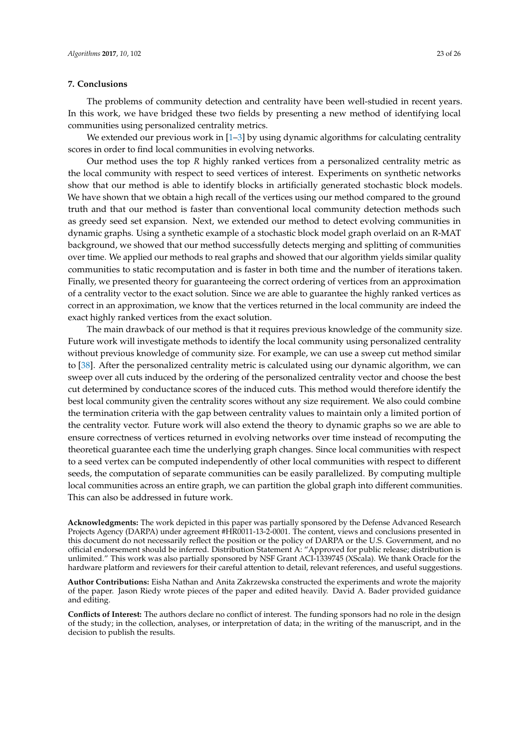# <span id="page-22-0"></span>**7. Conclusions**

The problems of community detection and centrality have been well-studied in recent years. In this work, we have bridged these two fields by presenting a new method of identifying local communities using personalized centrality metrics.

We extended our previous work in [\[1–](#page-23-0)[3\]](#page-23-1) by using dynamic algorithms for calculating centrality scores in order to find local communities in evolving networks.

Our method uses the top *R* highly ranked vertices from a personalized centrality metric as the local community with respect to seed vertices of interest. Experiments on synthetic networks show that our method is able to identify blocks in artificially generated stochastic block models. We have shown that we obtain a high recall of the vertices using our method compared to the ground truth and that our method is faster than conventional local community detection methods such as greedy seed set expansion. Next, we extended our method to detect evolving communities in dynamic graphs. Using a synthetic example of a stochastic block model graph overlaid on an R-MAT background, we showed that our method successfully detects merging and splitting of communities over time. We applied our methods to real graphs and showed that our algorithm yields similar quality communities to static recomputation and is faster in both time and the number of iterations taken. Finally, we presented theory for guaranteeing the correct ordering of vertices from an approximation of a centrality vector to the exact solution. Since we are able to guarantee the highly ranked vertices as correct in an approximation, we know that the vertices returned in the local community are indeed the exact highly ranked vertices from the exact solution.

The main drawback of our method is that it requires previous knowledge of the community size. Future work will investigate methods to identify the local community using personalized centrality without previous knowledge of community size. For example, we can use a sweep cut method similar to [\[38\]](#page-24-12). After the personalized centrality metric is calculated using our dynamic algorithm, we can sweep over all cuts induced by the ordering of the personalized centrality vector and choose the best cut determined by conductance scores of the induced cuts. This method would therefore identify the best local community given the centrality scores without any size requirement. We also could combine the termination criteria with the gap between centrality values to maintain only a limited portion of the centrality vector. Future work will also extend the theory to dynamic graphs so we are able to ensure correctness of vertices returned in evolving networks over time instead of recomputing the theoretical guarantee each time the underlying graph changes. Since local communities with respect to a seed vertex can be computed independently of other local communities with respect to different seeds, the computation of separate communities can be easily parallelized. By computing multiple local communities across an entire graph, we can partition the global graph into different communities. This can also be addressed in future work.

**Acknowledgments:** The work depicted in this paper was partially sponsored by the Defense Advanced Research Projects Agency (DARPA) under agreement #HR0011-13-2-0001. The content, views and conclusions presented in this document do not necessarily reflect the position or the policy of DARPA or the U.S. Government, and no official endorsement should be inferred. Distribution Statement A: "Approved for public release; distribution is unlimited." This work was also partially sponsored by NSF Grant ACI-1339745 (XScala). We thank Oracle for the hardware platform and reviewers for their careful attention to detail, relevant references, and useful suggestions.

**Author Contributions:** Eisha Nathan and Anita Zakrzewska constructed the experiments and wrote the majority of the paper. Jason Riedy wrote pieces of the paper and edited heavily. David A. Bader provided guidance and editing.

**Conflicts of Interest:** The authors declare no conflict of interest. The funding sponsors had no role in the design of the study; in the collection, analyses, or interpretation of data; in the writing of the manuscript, and in the decision to publish the results.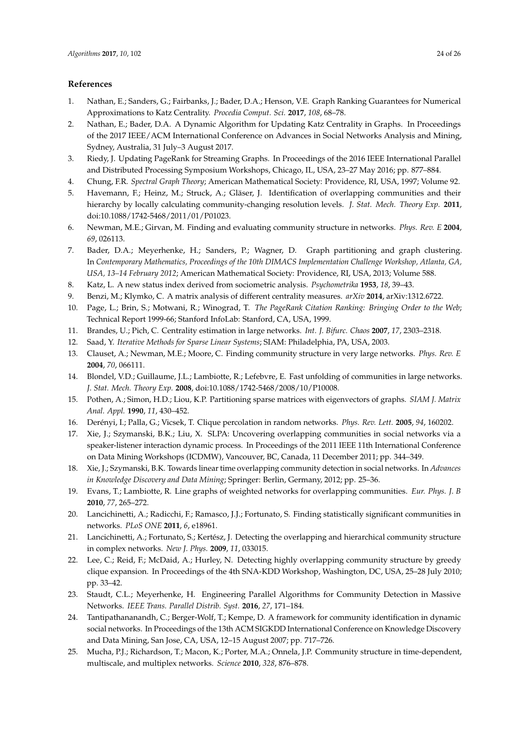# **References**

- <span id="page-23-0"></span>1. Nathan, E.; Sanders, G.; Fairbanks, J.; Bader, D.A.; Henson, V.E. Graph Ranking Guarantees for Numerical Approximations to Katz Centrality. *Procedia Comput. Sci.* **2017**, *108*, 68–78.
- <span id="page-23-23"></span>2. Nathan, E.; Bader, D.A. A Dynamic Algorithm for Updating Katz Centrality in Graphs. In Proceedings of the 2017 IEEE/ACM International Conference on Advances in Social Networks Analysis and Mining, Sydney, Australia, 31 July–3 August 2017.
- <span id="page-23-1"></span>3. Riedy, J. Updating PageRank for Streaming Graphs. In Proceedings of the 2016 IEEE International Parallel and Distributed Processing Symposium Workshops, Chicago, IL, USA, 23–27 May 2016; pp. 877–884.
- <span id="page-23-2"></span>4. Chung, F.R. *Spectral Graph Theory*; American Mathematical Society: Providence, RI, USA, 1997; Volume 92.
- <span id="page-23-3"></span>5. Havemann, F.; Heinz, M.; Struck, A.; Gläser, J. Identification of overlapping communities and their hierarchy by locally calculating community-changing resolution levels. *J. Stat. Mech. Theory Exp.* **2011**, doi:10.1088/1742-5468/2011/01/P01023.
- <span id="page-23-4"></span>6. Newman, M.E.; Girvan, M. Finding and evaluating community structure in networks. *Phys. Rev. E* **2004**, *69*, 026113.
- <span id="page-23-5"></span>7. Bader, D.A.; Meyerhenke, H.; Sanders, P.; Wagner, D. Graph partitioning and graph clustering. In *Contemporary Mathematics, Proceedings of the 10th DIMACS Implementation Challenge Workshop, Atlanta, GA, USA, 13–14 February 2012*; American Mathematical Society: Providence, RI, USA, 2013; Volume 588.
- <span id="page-23-6"></span>8. Katz, L. A new status index derived from sociometric analysis. *Psychometrika* **1953**, *18*, 39–43.
- <span id="page-23-7"></span>9. Benzi, M.; Klymko, C. A matrix analysis of different centrality measures. *arXiv* **2014**, arXiv:1312.6722.
- <span id="page-23-8"></span>10. Page, L.; Brin, S.; Motwani, R.; Winograd, T. *The PageRank Citation Ranking: Bringing Order to the Web*; Technical Report 1999-66; Stanford InfoLab: Stanford, CA, USA, 1999.
- <span id="page-23-9"></span>11. Brandes, U.; Pich, C. Centrality estimation in large networks. *Int. J. Bifurc. Chaos* **2007**, *17*, 2303–2318.
- <span id="page-23-10"></span>12. Saad, Y. *Iterative Methods for Sparse Linear Systems*; SIAM: Philadelphia, PA, USA, 2003.
- <span id="page-23-11"></span>13. Clauset, A.; Newman, M.E.; Moore, C. Finding community structure in very large networks. *Phys. Rev. E* **2004**, *70*, 066111.
- <span id="page-23-12"></span>14. Blondel, V.D.; Guillaume, J.L.; Lambiotte, R.; Lefebvre, E. Fast unfolding of communities in large networks. *J. Stat. Mech. Theory Exp.* **2008**, doi:10.1088/1742-5468/2008/10/P10008.
- <span id="page-23-13"></span>15. Pothen, A.; Simon, H.D.; Liou, K.P. Partitioning sparse matrices with eigenvectors of graphs. *SIAM J. Matrix Anal. Appl.* **1990**, *11*, 430–452.
- <span id="page-23-14"></span>16. Derényi, I.; Palla, G.; Vicsek, T. Clique percolation in random networks. *Phys. Rev. Lett.* **2005**, *94*, 160202.
- <span id="page-23-15"></span>17. Xie, J.; Szymanski, B.K.; Liu, X. SLPA: Uncovering overlapping communities in social networks via a speaker-listener interaction dynamic process. In Proceedings of the 2011 IEEE 11th International Conference on Data Mining Workshops (ICDMW), Vancouver, BC, Canada, 11 December 2011; pp. 344–349.
- <span id="page-23-16"></span>18. Xie, J.; Szymanski, B.K. Towards linear time overlapping community detection in social networks. In *Advances in Knowledge Discovery and Data Mining*; Springer: Berlin, Germany, 2012; pp. 25–36.
- <span id="page-23-17"></span>19. Evans, T.; Lambiotte, R. Line graphs of weighted networks for overlapping communities. *Eur. Phys. J. B* **2010**, *77*, 265–272.
- <span id="page-23-18"></span>20. Lancichinetti, A.; Radicchi, F.; Ramasco, J.J.; Fortunato, S. Finding statistically significant communities in networks. *PLoS ONE* **2011**, *6*, e18961.
- <span id="page-23-19"></span>21. Lancichinetti, A.; Fortunato, S.; Kertész, J. Detecting the overlapping and hierarchical community structure in complex networks. *New J. Phys.* **2009**, *11*, 033015.
- <span id="page-23-20"></span>22. Lee, C.; Reid, F.; McDaid, A.; Hurley, N. Detecting highly overlapping community structure by greedy clique expansion. In Proceedings of the 4th SNA-KDD Workshop, Washington, DC, USA, 25–28 July 2010; pp. 33–42.
- <span id="page-23-21"></span>23. Staudt, C.L.; Meyerhenke, H. Engineering Parallel Algorithms for Community Detection in Massive Networks. *IEEE Trans. Parallel Distrib. Syst.* **2016**, *27*, 171–184.
- <span id="page-23-22"></span>24. Tantipathananandh, C.; Berger-Wolf, T.; Kempe, D. A framework for community identification in dynamic social networks. In Proceedings of the 13th ACM SIGKDD International Conference on Knowledge Discovery and Data Mining, San Jose, CA, USA, 12–15 August 2007; pp. 717–726.
- 25. Mucha, P.J.; Richardson, T.; Macon, K.; Porter, M.A.; Onnela, J.P. Community structure in time-dependent, multiscale, and multiplex networks. *Science* **2010**, *328*, 876–878.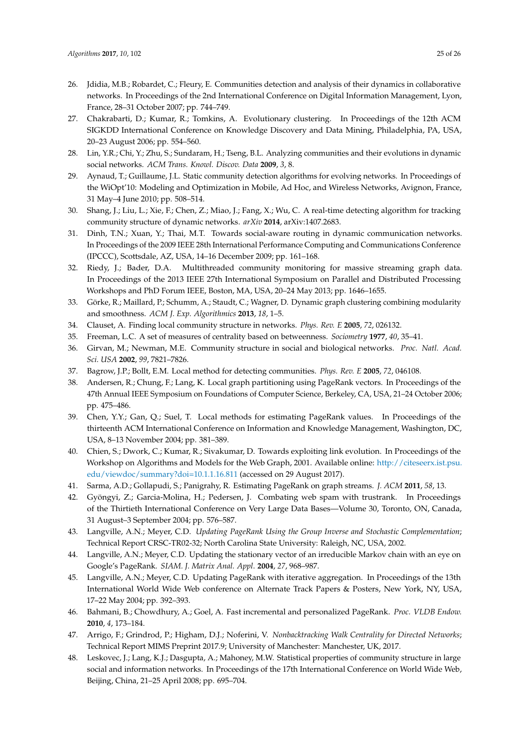- <span id="page-24-0"></span>26. Jdidia, M.B.; Robardet, C.; Fleury, E. Communities detection and analysis of their dynamics in collaborative networks. In Proceedings of the 2nd International Conference on Digital Information Management, Lyon, France, 28–31 October 2007; pp. 744–749.
- <span id="page-24-1"></span>27. Chakrabarti, D.; Kumar, R.; Tomkins, A. Evolutionary clustering. In Proceedings of the 12th ACM SIGKDD International Conference on Knowledge Discovery and Data Mining, Philadelphia, PA, USA, 20–23 August 2006; pp. 554–560.
- <span id="page-24-2"></span>28. Lin, Y.R.; Chi, Y.; Zhu, S.; Sundaram, H.; Tseng, B.L. Analyzing communities and their evolutions in dynamic social networks. *ACM Trans. Knowl. Discov. Data* **2009**, *3*, 8.
- <span id="page-24-3"></span>29. Aynaud, T.; Guillaume, J.L. Static community detection algorithms for evolving networks. In Proceedings of the WiOpt'10: Modeling and Optimization in Mobile, Ad Hoc, and Wireless Networks, Avignon, France, 31 May–4 June 2010; pp. 508–514.
- <span id="page-24-4"></span>30. Shang, J.; Liu, L.; Xie, F.; Chen, Z.; Miao, J.; Fang, X.; Wu, C. A real-time detecting algorithm for tracking community structure of dynamic networks. *arXiv* **2014**, arXiv:1407.2683.
- <span id="page-24-5"></span>31. Dinh, T.N.; Xuan, Y.; Thai, M.T. Towards social-aware routing in dynamic communication networks. In Proceedings of the 2009 IEEE 28th International Performance Computing and Communications Conference (IPCCC), Scottsdale, AZ, USA, 14–16 December 2009; pp. 161–168.
- <span id="page-24-6"></span>32. Riedy, J.; Bader, D.A. Multithreaded community monitoring for massive streaming graph data. In Proceedings of the 2013 IEEE 27th International Symposium on Parallel and Distributed Processing Workshops and PhD Forum IEEE, Boston, MA, USA, 20–24 May 2013; pp. 1646–1655.
- <span id="page-24-7"></span>33. Görke, R.; Maillard, P.; Schumm, A.; Staudt, C.; Wagner, D. Dynamic graph clustering combining modularity and smoothness. *ACM J. Exp. Algorithmics* **2013**, *18*, 1–5.
- <span id="page-24-8"></span>34. Clauset, A. Finding local community structure in networks. *Phys. Rev. E* **2005**, *72*, 026132.
- <span id="page-24-9"></span>35. Freeman, L.C. A set of measures of centrality based on betweenness. *Sociometry* **1977**, *40*, 35–41.
- <span id="page-24-10"></span>36. Girvan, M.; Newman, M.E. Community structure in social and biological networks. *Proc. Natl. Acad. Sci. USA* **2002**, *99*, 7821–7826.
- <span id="page-24-11"></span>37. Bagrow, J.P.; Bollt, E.M. Local method for detecting communities. *Phys. Rev. E* **2005**, *72*, 046108.
- <span id="page-24-12"></span>38. Andersen, R.; Chung, F.; Lang, K. Local graph partitioning using PageRank vectors. In Proceedings of the 47th Annual IEEE Symposium on Foundations of Computer Science, Berkeley, CA, USA, 21–24 October 2006; pp. 475–486.
- <span id="page-24-13"></span>39. Chen, Y.Y.; Gan, Q.; Suel, T. Local methods for estimating PageRank values. In Proceedings of the thirteenth ACM International Conference on Information and Knowledge Management, Washington, DC, USA, 8–13 November 2004; pp. 381–389.
- <span id="page-24-14"></span>40. Chien, S.; Dwork, C.; Kumar, R.; Sivakumar, D. Towards exploiting link evolution. In Proceedings of the Workshop on Algorithms and Models for the Web Graph, 2001. Available online: [http://citeseerx.ist.psu.](http://citeseerx.ist.psu.edu/viewdoc/summary?doi=10.1.1.16.811) [edu/viewdoc/summary?doi=10.1.1.16.811](http://citeseerx.ist.psu.edu/viewdoc/summary?doi=10.1.1.16.811) (accessed on 29 August 2017).
- <span id="page-24-15"></span>41. Sarma, A.D.; Gollapudi, S.; Panigrahy, R. Estimating PageRank on graph streams. *J. ACM* **2011**, *58*, 13.
- <span id="page-24-16"></span>42. Gyöngyi, Z.; Garcia-Molina, H.; Pedersen, J. Combating web spam with trustrank. In Proceedings of the Thirtieth International Conference on Very Large Data Bases—Volume 30, Toronto, ON, Canada, 31 August–3 September 2004; pp. 576–587.
- <span id="page-24-17"></span>43. Langville, A.N.; Meyer, C.D. *Updating PageRank Using the Group Inverse and Stochastic Complementation*; Technical Report CRSC-TR02-32; North Carolina State University: Raleigh, NC, USA, 2002.
- <span id="page-24-18"></span>44. Langville, A.N.; Meyer, C.D. Updating the stationary vector of an irreducible Markov chain with an eye on Google's PageRank. *SIAM. J. Matrix Anal. Appl*. **2004**, *27*, 968–987.
- <span id="page-24-19"></span>45. Langville, A.N.; Meyer, C.D. Updating PageRank with iterative aggregation. In Proceedings of the 13th International World Wide Web conference on Alternate Track Papers & Posters, New York, NY, USA, 17–22 May 2004; pp. 392–393.
- <span id="page-24-20"></span>46. Bahmani, B.; Chowdhury, A.; Goel, A. Fast incremental and personalized PageRank. *Proc. VLDB Endow.* **2010**, *4*, 173–184.
- <span id="page-24-21"></span>47. Arrigo, F.; Grindrod, P.; Higham, D.J.; Noferini, V. *Nonbacktracking Walk Centrality for Directed Networks*; Technical Report MIMS Preprint 2017.9; University of Manchester: Manchester, UK, 2017.
- <span id="page-24-22"></span>48. Leskovec, J.; Lang, K.J.; Dasgupta, A.; Mahoney, M.W. Statistical properties of community structure in large social and information networks. In Proceedings of the 17th International Conference on World Wide Web, Beijing, China, 21–25 April 2008; pp. 695–704.